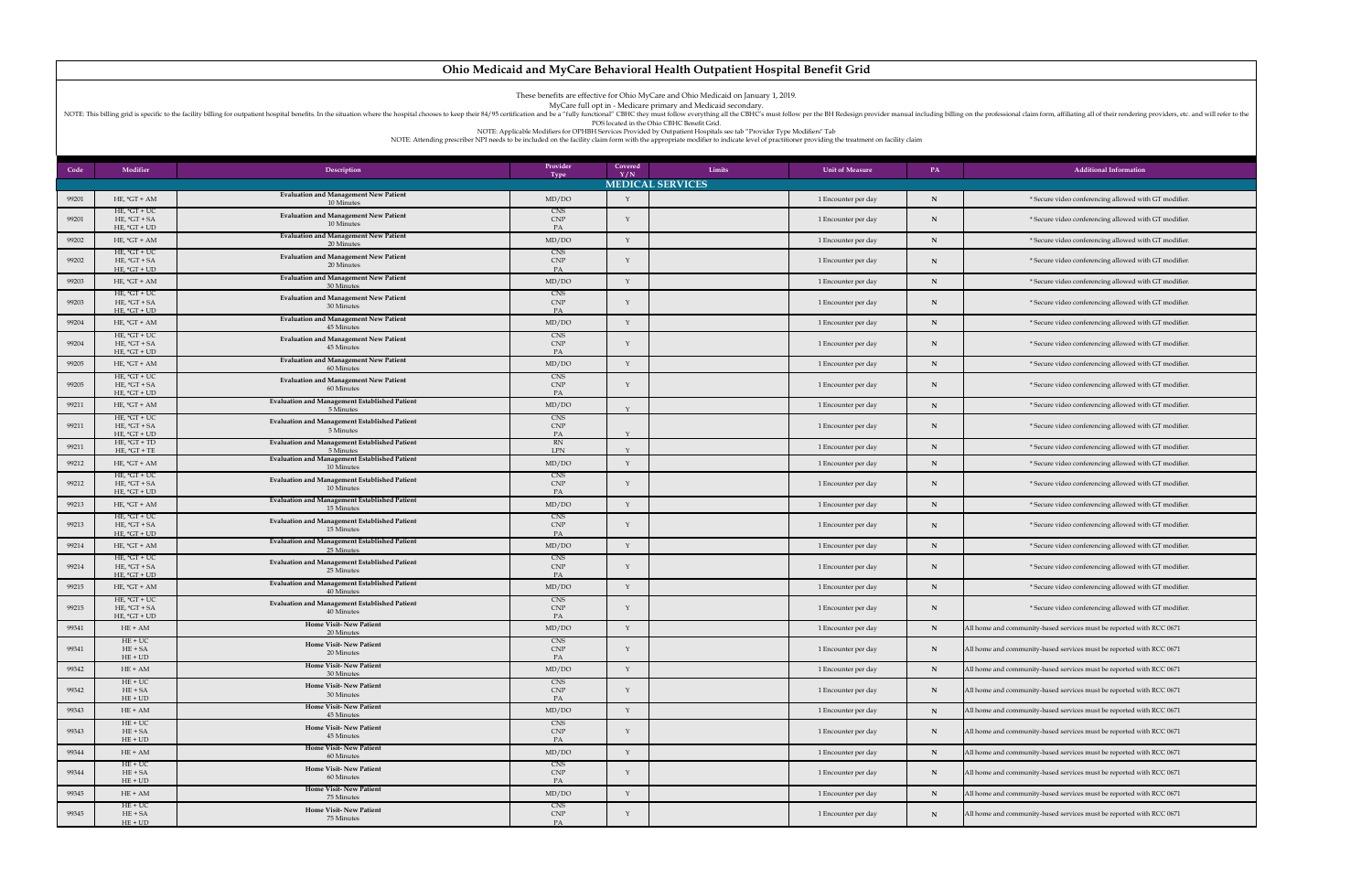NOTE: This billing grid is specific to the facility billing for outpatient hospital benefits. In the situation where the hospital chooses to keep their 84/95 certification and be a "fully functional" CBHC they must follow POS located in the Ohio CBHC Benefit Grid.

| Code  | Modifier                                           | Description                                                        | Provider<br><b>Type</b>        | Covered<br>Limits<br>Y/N | <b>Unit of Measure</b> | <b>PA</b>   | <b>Additional Information</b>                                        |
|-------|----------------------------------------------------|--------------------------------------------------------------------|--------------------------------|--------------------------|------------------------|-------------|----------------------------------------------------------------------|
|       |                                                    |                                                                    |                                | <b>MEDICAL SERVICES</b>  |                        |             |                                                                      |
| 99201 | $HE, *GT + AM$                                     | <b>Evaluation and Management New Patient</b><br>10 Minutes         | MD/DO                          |                          | 1 Encounter per day    |             | * Secure video conferencing allowed with GT modifier.                |
| 99201 | $HE, *GT + UC$<br>$HE, *GT + SA$<br>$HE, *GT + UD$ | <b>Evaluation and Management New Patient</b><br>10 Minutes         | CNS<br><b>CNP</b><br>PA        |                          | 1 Encounter per day    |             | * Secure video conferencing allowed with GT modifier.                |
| 99202 | $HE, *GT + AM$                                     | <b>Evaluation and Management New Patient</b><br>20 Minutes         | MD/DO                          |                          | 1 Encounter per day    |             | * Secure video conferencing allowed with GT modifier.                |
| 99202 | HE, $*GT + UC$<br>$HE, *GT + SA$<br>$HE, *GT + UD$ | <b>Evaluation and Management New Patient</b><br>20 Minutes         | <b>CNS</b><br><b>CNP</b>       |                          | 1 Encounter per day    |             | * Secure video conferencing allowed with GT modifier.                |
| 99203 | HE, $*GT + AM$                                     | <b>Evaluation and Management New Patient</b><br>30 Minutes         | MD/DO                          |                          | 1 Encounter per day    |             | * Secure video conferencing allowed with GT modifier.                |
| 99203 | $HE, *GT + UC$<br>$HE, *GT + SA$<br>$HE, *GT + UD$ | <b>Evaluation and Management New Patient</b><br>30 Minutes         | <b>CNS</b><br><b>CNP</b><br>PA |                          | 1 Encounter per day    |             | * Secure video conferencing allowed with GT modifier.                |
| 99204 | HE, $*GT + AM$                                     | <b>Evaluation and Management New Patient</b><br>45 Minutes         | MD/DO                          |                          | 1 Encounter per day    |             | * Secure video conferencing allowed with GT modifier.                |
| 99204 | $HE, *GT + UC$<br>$HE, *GT + SA$<br>$HE, *GT + UD$ | <b>Evaluation and Management New Patient</b><br>45 Minutes         | <b>CNS</b><br><b>CNP</b><br>PA |                          | 1 Encounter per day    |             | * Secure video conferencing allowed with GT modifier.                |
| 99205 | HE, $*GT + AM$                                     | <b>Evaluation and Management New Patient</b><br>60 Minutes         | MD/DO                          |                          | 1 Encounter per day    |             | * Secure video conferencing allowed with GT modifier.                |
| 99205 | $HE, *GT + UC$<br>$HE, *GT + SA$<br>$HE, *GT + UD$ | <b>Evaluation and Management New Patient</b><br>60 Minutes         | <b>CNS</b><br><b>CNP</b><br>PA |                          | 1 Encounter per day    |             | * Secure video conferencing allowed with GT modifier.                |
| 99211 | $HE, *GT + AM$                                     | <b>Evaluation and Management Established Patient</b><br>5 Minutes  | MD/DO                          |                          | 1 Encounter per day    |             | * Secure video conferencing allowed with GT modifier.                |
| 99211 | $HE, *GT + UC$<br>$HE, *GT + SA$<br>HE, $*GT + UD$ | <b>Evaluation and Management Established Patient</b><br>5 Minutes  | <b>CNS</b><br><b>CNP</b>       |                          | 1 Encounter per day    |             | * Secure video conferencing allowed with GT modifier.                |
| 99211 | $HE, *GT + TD$<br>$HE, *GT + TE$                   | <b>Evaluation and Management Established Patient</b><br>5 Minutes  | <b>RN</b><br><b>LPN</b>        |                          | 1 Encounter per day    |             | * Secure video conferencing allowed with GT modifier.                |
| 99212 | HE, $*GT + AM$                                     | <b>Evaluation and Management Established Patient</b><br>10 Minutes | MD/DO                          |                          | 1 Encounter per day    |             | * Secure video conferencing allowed with GT modifier.                |
| 99212 | HE, $*GT + UC$<br>$HE, *GT + SA$<br>$HE, *GT + UD$ | <b>Evaluation and Management Established Patient</b><br>10 Minutes | <b>CNS</b><br><b>CNP</b>       |                          | 1 Encounter per day    |             | * Secure video conferencing allowed with GT modifier.                |
| 99213 | HE, $*GT + AM$                                     | <b>Evaluation and Management Established Patient</b><br>15 Minutes | MD/DO                          |                          | 1 Encounter per day    |             | * Secure video conferencing allowed with GT modifier.                |
| 99213 | HE, $*GT + UC$<br>$HE, *GT + SA$<br>$HE, *GT + UD$ | <b>Evaluation and Management Established Patient</b><br>15 Minutes | <b>CNS</b><br><b>CNP</b><br>PA |                          | 1 Encounter per day    |             | * Secure video conferencing allowed with GT modifier.                |
| 99214 | $HE, *GT + AM$                                     | <b>Evaluation and Management Established Patient</b><br>25 Minutes | MD/DO                          |                          | 1 Encounter per day    |             | * Secure video conferencing allowed with GT modifier.                |
| 99214 | $HE, *GT + UC$<br>$HE, *GT + SA$<br>$HE, *GT + UD$ | <b>Evaluation and Management Established Patient</b><br>25 Minutes | <b>CNS</b><br><b>CNP</b><br>PA |                          | 1 Encounter per day    |             | * Secure video conferencing allowed with GT modifier.                |
| 99215 | $HE, *GT + AM$                                     | <b>Evaluation and Management Established Patient</b><br>40 Minutes | MD/DO                          |                          | 1 Encounter per day    |             | * Secure video conferencing allowed with GT modifier.                |
| 99215 | HE, $*GT + UC$<br>$HE, *GT + SA$<br>$HE, *GT + UD$ | <b>Evaluation and Management Established Patient</b><br>40 Minutes | CNS<br><b>CNP</b>              |                          | 1 Encounter per day    |             | * Secure video conferencing allowed with GT modifier.                |
| 99341 | $HE + AM$                                          | <b>Home Visit-New Patient</b><br>20 Minutes                        | MD/DO                          |                          | 1 Encounter per day    | $\mathbf N$ | All home and community-based services must be reported with RCC 0671 |
| 99341 | $HE+UC$<br>$HE + SA$<br>$HE + UD$                  | <b>Home Visit-New Patient</b><br>20 Minutes                        | <b>CNS</b><br><b>CNP</b>       |                          | 1 Encounter per day    |             | All home and community-based services must be reported with RCC 0671 |
| 99342 | $HE + AM$                                          | <b>Home Visit-New Patient</b><br>30 Minutes                        | MD/DO                          |                          | 1 Encounter per day    |             | All home and community-based services must be reported with RCC 0671 |
| 99342 | $HE+UC$<br>$HE + SA$<br>$HE + UD$                  | <b>Home Visit-New Patient</b><br>30 Minutes                        | <b>CNS</b><br><b>CNP</b>       |                          | 1 Encounter per day    | - N         | All home and community-based services must be reported with RCC 0671 |
| 99343 | $HE + AM$                                          | <b>Home Visit-New Patient</b><br>45 Minutes                        | MD/DO                          |                          | 1 Encounter per day    |             | All home and community-based services must be reported with RCC 0671 |
| 99343 | $HE + UC$<br>$HE + SA$<br>$HE + UD$                | <b>Home Visit-New Patient</b><br>45 Minutes                        | <b>CNS</b><br><b>CNP</b><br>PA |                          | 1 Encounter per day    |             | All home and community-based services must be reported with RCC 0671 |
| 99344 | $HE + AM$                                          | <b>Home Visit-New Patient</b><br>60 Minutes                        | MD/DO                          |                          | 1 Encounter per day    | $\mathbf N$ | All home and community-based services must be reported with RCC 0671 |
| 99344 | $HE+UC$<br>$HE + SA$<br>$HE + UD$                  | <b>Home Visit-New Patient</b><br>60 Minutes                        | <b>CNS</b><br><b>CNP</b><br>PA |                          | 1 Encounter per day    | $\mathbf N$ | All home and community-based services must be reported with RCC 0671 |
| 99345 | $HE + AM$                                          | <b>Home Visit-New Patient</b><br>75 Minutes                        | MD/DO                          |                          | 1 Encounter per day    | N           | All home and community-based services must be reported with RCC 0671 |
| 99345 | $HE+UC$<br>$HE + SA$<br>$HE + UD$                  | <b>Home Visit-New Patient</b><br>75 Minutes                        | <b>CNS</b><br><b>CNP</b><br>PA |                          | 1 Encounter per day    | $\mathbf N$ | All home and community-based services must be reported with RCC 0671 |

These benefits are effective for Ohio MyCare and Ohio Medicaid on January 1, 2019.

MyCare full opt in - Medicare primary and Medicaid secondary.

NOTE: Applicable Modifiers for OPHBH Services Provided by Outpatient Hospitals see tab "Provider Type Modifiers" Tab

NOTE: Attending prescriber NPI needs to be included on the facility claim form with the appropriate modifier to indicate level of practitioner providing the treatment on facility claim

## **Ohio Medicaid and MyCare Behavioral Health Outpatient Hospital Benefit Grid**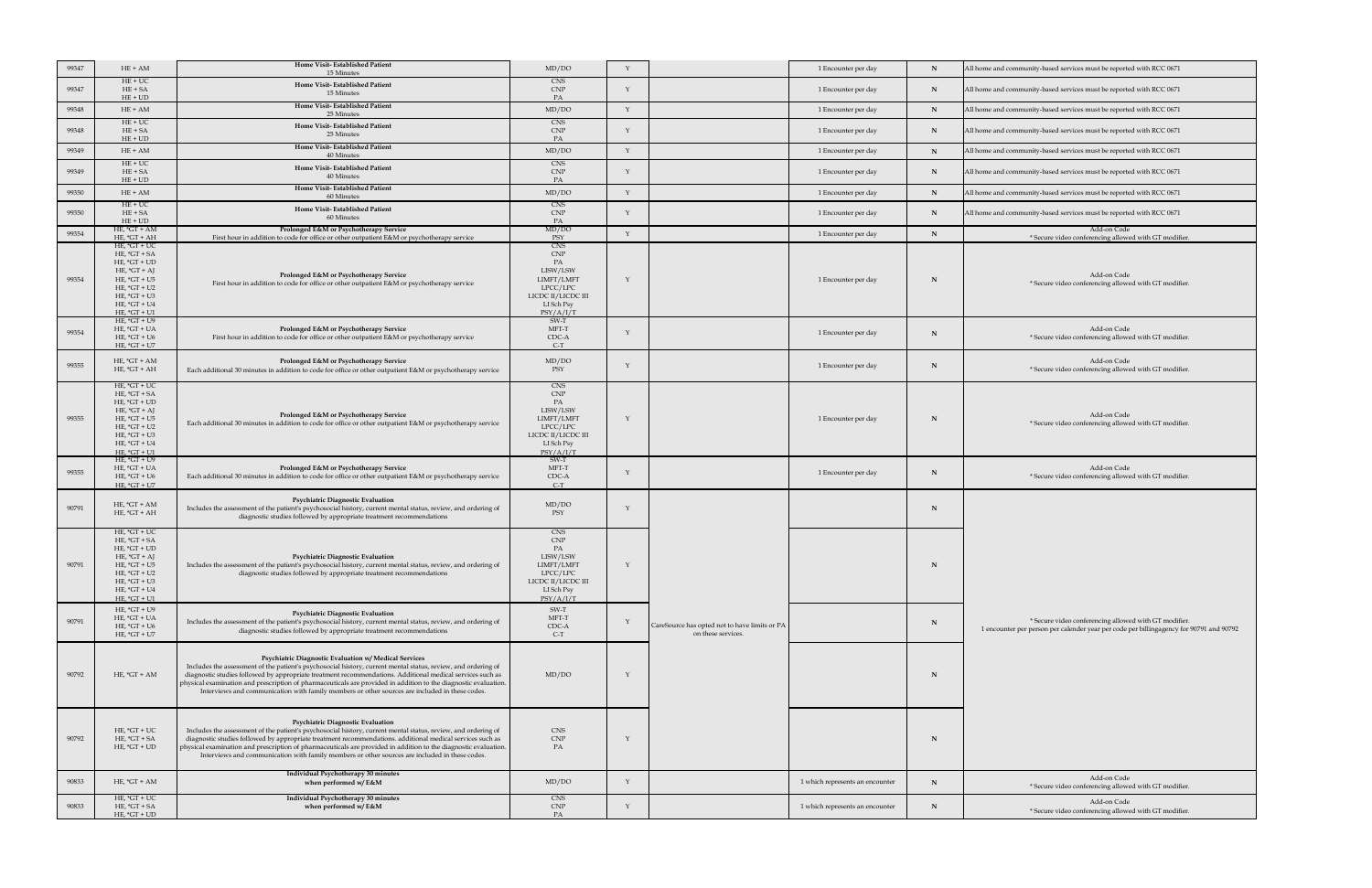| 99347 | $HE + AM$                                                                                                                                                                        | <b>Home Visit-Established Patient</b>                                                                                                                                                                                                                                                                                                                                                                                                                                                                           | MD/DO                                                                                                                   |                                                                     | 1 Encounter per day             |              | All home and community-based services must be reported with RCC 0671                                                                             |
|-------|----------------------------------------------------------------------------------------------------------------------------------------------------------------------------------|-----------------------------------------------------------------------------------------------------------------------------------------------------------------------------------------------------------------------------------------------------------------------------------------------------------------------------------------------------------------------------------------------------------------------------------------------------------------------------------------------------------------|-------------------------------------------------------------------------------------------------------------------------|---------------------------------------------------------------------|---------------------------------|--------------|--------------------------------------------------------------------------------------------------------------------------------------------------|
| 99347 | $HE + UC$<br>$HE + SA$                                                                                                                                                           | 15 Minutes<br><b>Home Visit-Established Patient</b><br>15 Minutes                                                                                                                                                                                                                                                                                                                                                                                                                                               | CNS<br><b>CNP</b>                                                                                                       |                                                                     | 1 Encounter per day             | <b>IN</b>    | All home and community-based services must be reported with RCC 0671                                                                             |
| 99348 | $HE + UD$<br>$HE + AM$                                                                                                                                                           | <b>Home Visit-Established Patient</b><br>25 Minutes                                                                                                                                                                                                                                                                                                                                                                                                                                                             | MD/DO                                                                                                                   |                                                                     | 1 Encounter per day             | N            | All home and community-based services must be reported with RCC 0671                                                                             |
| 99348 | $HE + UC$<br>$HE + SA$<br>$HE + UD$                                                                                                                                              | <b>Home Visit-Established Patient</b><br>25 Minutes                                                                                                                                                                                                                                                                                                                                                                                                                                                             | <b>CNS</b><br><b>CNP</b>                                                                                                |                                                                     | 1 Encounter per day             |              | All home and community-based services must be reported with RCC 0671                                                                             |
| 99349 | $HE + AM$                                                                                                                                                                        | <b>Home Visit-Established Patient</b><br>40 Minutes                                                                                                                                                                                                                                                                                                                                                                                                                                                             | MD/DO                                                                                                                   |                                                                     | 1 Encounter per day             | N            | All home and community-based services must be reported with RCC 0671                                                                             |
| 99349 | $HE+UC$<br>$HE + SA$<br>$HE + UD$                                                                                                                                                | <b>Home Visit-Established Patient</b><br>40 Minutes                                                                                                                                                                                                                                                                                                                                                                                                                                                             | CNS<br><b>CNP</b>                                                                                                       |                                                                     | 1 Encounter per day             |              | All home and community-based services must be reported with RCC 0671                                                                             |
| 99350 | $HE + AM$                                                                                                                                                                        | <b>Home Visit-Established Patient</b><br>60 Minutes                                                                                                                                                                                                                                                                                                                                                                                                                                                             | MD/DO                                                                                                                   |                                                                     | 1 Encounter per day             |              | All home and community-based services must be reported with RCC 0671                                                                             |
| 99350 | $HE+UC$<br>$HE + SA$<br>$HE + UD$                                                                                                                                                | <b>Home Visit-Established Patient</b><br>60 Minutes                                                                                                                                                                                                                                                                                                                                                                                                                                                             | <b>CNS</b><br><b>CNP</b>                                                                                                |                                                                     | 1 Encounter per day             |              | All home and community-based services must be reported with RCC 0671                                                                             |
| 99354 | HE, $*GT + AM$<br>$HE, *GT + AH$                                                                                                                                                 | <b>Prolonged E&amp;M or Psychotherapy Service</b><br>First hour in addition to code for office or other outpatient E&M or psychotherapy service                                                                                                                                                                                                                                                                                                                                                                 | MD/DO<br><b>PSY</b>                                                                                                     |                                                                     | 1 Encounter per day             |              | Add-on Code<br>* Secure video conferencing allowed with GT modifier.                                                                             |
| 99354 | $HE, *GT + UC$<br>$HE, *GT + SA$<br>$HE, *GT + UD$<br>HE, $*GT + AJ$<br>$HE, *GT + US$<br>$HE, *GT + U2$<br>$HE, *GT + U3$<br>HE, $*GT + U4$<br>HE, $*GT + U1$                   | Prolonged E&M or Psychotherapy Service<br>First hour in addition to code for office or other outpatient E&M or psychotherapy service                                                                                                                                                                                                                                                                                                                                                                            | <b>CNS</b><br><b>CNP</b><br>LISW/LSW<br>LIMFT/LMFT<br>LPCC/LPC<br>LICDC II/LICDC III<br>LI Sch Psy<br>PSY/A/I/T         |                                                                     | 1 Encounter per day             |              | Add-on Code<br>* Secure video conferencing allowed with GT modifier.                                                                             |
| 99354 | $HE, *GT + U9$<br>HE, $*GT + UA$<br>$HE, *GT + U6$<br>HE, $*GT + U7$                                                                                                             | <b>Prolonged E&amp;M or Psychotherapy Service</b><br>First hour in addition to code for office or other outpatient E&M or psychotherapy service                                                                                                                                                                                                                                                                                                                                                                 | SW-T<br>MFT-T<br>CDC-A<br>$C-T$                                                                                         |                                                                     | 1 Encounter per day             |              | Add-on Code<br>* Secure video conferencing allowed with GT modifier.                                                                             |
| 99355 | $HE, *GT + AM$<br>$HE, *GT + AH$                                                                                                                                                 | Prolonged E&M or Psychotherapy Service<br>Each additional 30 minutes in addition to code for office or other outpatient E&M or psychotherapy service                                                                                                                                                                                                                                                                                                                                                            | MD/DO<br>PSY                                                                                                            |                                                                     | 1 Encounter per day             |              | Add-on Code<br>* Secure video conferencing allowed with GT modifier.                                                                             |
| 99355 | $HE, *GT + UC$<br>$HE, *GT + SA$<br>$HE, *GT + UD$<br>$HE, *GT + AJ$<br>$HE, *GT + US$<br>HE, $*GT + U2$<br>$HE, *GT + U3$<br>$HE, *GT + U4$<br>$HE, *GT + U1$<br>$HE, *GT + U9$ | <b>Prolonged E&amp;M or Psychotherapy Service</b><br>Each additional 30 minutes in addition to code for office or other outpatient E&M or psychotherapy service                                                                                                                                                                                                                                                                                                                                                 | <b>CNS</b><br><b>CNP</b><br>LISW/LSW<br>LIMFT/LMFT<br>LPCC/LPC<br>LICDC II/LICDC III<br>LI Sch Psy<br>PSY/A/I/T<br>SW-T |                                                                     | 1 Encounter per day             |              | Add-on Code<br>* Secure video conferencing allowed with GT modifier.                                                                             |
| 99355 | HE, $*GT + UA$<br>HE, $*GT + U6$<br>HE, $*GT + U7$                                                                                                                               | <b>Prolonged E&amp;M or Psychotherapy Service</b><br>Each additional 30 minutes in addition to code for office or other outpatient E&M or psychotherapy service                                                                                                                                                                                                                                                                                                                                                 | MFT-T<br>CDC-A<br>$C-T$                                                                                                 |                                                                     | 1 Encounter per day             | $\mathbf{N}$ | Add-on Code<br>* Secure video conferencing allowed with GT modifier.                                                                             |
| 90791 | HE, $*GT + AM$<br>$HE, *GT + AH$                                                                                                                                                 | <b>Psychiatric Diagnostic Evaluation</b><br>Includes the assessment of the patient's psychosocial history, current mental status, review, and ordering of<br>diagnostic studies followed by appropriate treatment recommendations                                                                                                                                                                                                                                                                               | MD/DO<br>PSY                                                                                                            |                                                                     |                                 |              |                                                                                                                                                  |
| 90791 | HE, $*GT + UC$<br>HE, $*GT + SA$<br>$HE, *GT + UD$<br>$HE, *GT + AJ$<br>HE, $*GT + US$<br>$HE, *GT + U2$<br>$HE, *GT + U3$<br>$HE, *GT + U4$<br>$HE, *GT + U1$                   | <b>Psychiatric Diagnostic Evaluation</b><br>Includes the assessment of the patient's psychosocial history, current mental status, review, and ordering of<br>diagnostic studies followed by appropriate treatment recommendations                                                                                                                                                                                                                                                                               | <b>CNS</b><br><b>CNP</b><br>LISW/LSW<br>LIMFT/LMFT<br>LPCC/LPC<br>LICDC II/LICDC III<br>LI Sch Psy<br>PSY/A/I/T         |                                                                     |                                 |              |                                                                                                                                                  |
| 90791 | HE, $*GT + U9$<br>$HE, *GT + UA$<br>HE, $*GT + U6$<br>HE, $*GT + U7$                                                                                                             | <b>Psychiatric Diagnostic Evaluation</b><br>Includes the assessment of the patient's psychosocial history, current mental status, review, and ordering of<br>diagnostic studies followed by appropriate treatment recommendations                                                                                                                                                                                                                                                                               | SW-T<br>MFT-T<br>CDC-A<br>$C-T$                                                                                         | CareSource has opted not to have limits or PA<br>on these services. |                                 |              | * Secure video conferencing allowed with GT modifier.<br>1 encounter per person per calender year per code per billingagency for 90791 and 90792 |
| 90792 | $HE, *GT + AM$                                                                                                                                                                   | <b>Psychiatric Diagnostic Evaluation w/ Medical Services</b><br>Includes the assessment of the patient's psychosocial history, current mental status, review, and ordering of<br>diagnostic studies followed by appropriate treatment recommendations. Additional medical services such as<br>physical examination and prescription of pharmaceuticals are provided in addition to the diagnostic evaluation.<br>Interviews and communication with family members or other sources are included in these codes. | MD/DO                                                                                                                   |                                                                     |                                 |              |                                                                                                                                                  |
| 90792 | $HE, *GT + UC$<br>$HE, *GT + SA$<br>$HE, *GT + UD$                                                                                                                               | <b>Psychiatric Diagnostic Evaluation</b><br>Includes the assessment of the patient's psychosocial history, current mental status, review, and ordering of<br>diagnostic studies followed by appropriate treatment recommendations. additional medical services such as<br>physical examination and prescription of pharmaceuticals are provided in addition to the diagnostic evaluation.<br>Interviews and communication with family members or other sources are included in these codes.                     | <b>CNS</b><br>CNP<br>PA                                                                                                 |                                                                     |                                 |              |                                                                                                                                                  |
| 90833 | HE, $*GT + AM$                                                                                                                                                                   | <b>Individual Psychotherapy 30 minutes</b><br>when performed w/ $E\&M$                                                                                                                                                                                                                                                                                                                                                                                                                                          | MD/DO                                                                                                                   |                                                                     | 1 which represents an encounter |              | Add-on Code<br>* Secure video conferencing allowed with GT modifier.                                                                             |
| 90833 | $HE, *GT + UC$<br>$HE, *GT + SA$<br>$HE, *GT + UD$                                                                                                                               | Individual Psychotherapy 30 minutes<br>when performed w/ $E$ &M                                                                                                                                                                                                                                                                                                                                                                                                                                                 | CNS<br><b>CNP</b>                                                                                                       |                                                                     | 1 which represents an encounter |              | Add-on Code<br>* Secure video conferencing allowed with GT modifier.                                                                             |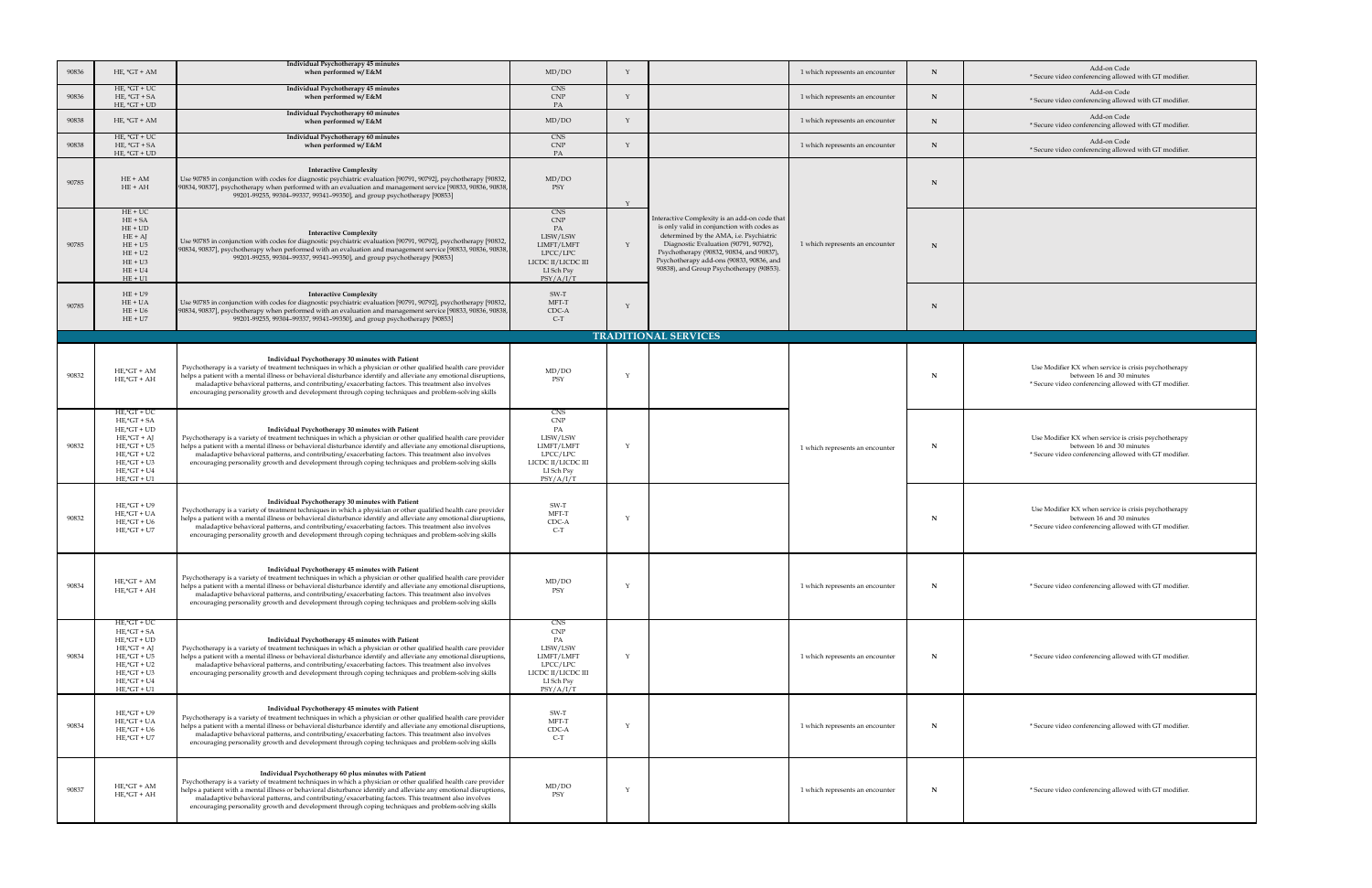| 90836 | HE, $*GT + AM$                                                                                                                                                                              | Individual Psychotherapy 45 minutes<br>when performed w/ E&M                                                                                                                                                                                                                                                                                                                                                                                                                                                 | MD/DO                                                                                                                                  |                                                                                                                                                                                                                                                                                                                     | 1 which represents an encounter | N | Add-on Code<br>* Secure video conferencing allowed with GT modifier.                                                                       |
|-------|---------------------------------------------------------------------------------------------------------------------------------------------------------------------------------------------|--------------------------------------------------------------------------------------------------------------------------------------------------------------------------------------------------------------------------------------------------------------------------------------------------------------------------------------------------------------------------------------------------------------------------------------------------------------------------------------------------------------|----------------------------------------------------------------------------------------------------------------------------------------|---------------------------------------------------------------------------------------------------------------------------------------------------------------------------------------------------------------------------------------------------------------------------------------------------------------------|---------------------------------|---|--------------------------------------------------------------------------------------------------------------------------------------------|
| 90836 | HE, $*GT + UC$<br>$HE, *GT + SA$<br>$HE, *GT + UD$                                                                                                                                          | Individual Psychotherapy 45 minutes<br>when performed w/ $E$ &M                                                                                                                                                                                                                                                                                                                                                                                                                                              | <b>CNS</b><br><b>CNP</b><br>PA                                                                                                         |                                                                                                                                                                                                                                                                                                                     | 1 which represents an encounter | N | Add-on Code<br>* Secure video conferencing allowed with GT modifier.                                                                       |
| 90838 | HE, $*GT + AM$                                                                                                                                                                              | Individual Psychotherapy 60 minutes<br>when performed w/ E&M                                                                                                                                                                                                                                                                                                                                                                                                                                                 | MD/DO                                                                                                                                  |                                                                                                                                                                                                                                                                                                                     | 1 which represents an encounter | N | Add-on Code<br>* Secure video conferencing allowed with GT modifier.                                                                       |
| 90838 | HE, $*GT + UC$<br>$HE, *GT + SA$<br>$HE, *GT + UD$                                                                                                                                          | Individual Psychotherapy 60 minutes<br>when performed w/ $E$ &M                                                                                                                                                                                                                                                                                                                                                                                                                                              | <b>CNS</b><br><b>CNP</b><br>PA                                                                                                         |                                                                                                                                                                                                                                                                                                                     | 1 which represents an encounter | N | Add-on Code<br>* Secure video conferencing allowed with GT modifier.                                                                       |
| 90785 | $HE + AM$<br>$HE + AH$                                                                                                                                                                      | <b>Interactive Complexity</b><br>Use 90785 in conjunction with codes for diagnostic psychiatric evaluation [90791, 90792], psychotherapy [90832,  <br>[90834, 90837], psychotherapy when performed with an evaluation and management service [90833, 90836, 90838, ]<br>99201-99255, 99304-99337, 99341-99350], and group psychotherapy [90853]                                                                                                                                                              | MD/DO<br>PSY                                                                                                                           |                                                                                                                                                                                                                                                                                                                     |                                 | N |                                                                                                                                            |
| 90785 | $HE + UC$<br>$HE + SA$<br>$HE + UD$<br>$HE + AJ$<br>$HE + U5$<br>$HE + U2$<br>$HE + U3$<br>$HE + U4$<br>$HE + U1$                                                                           | <b>Interactive Complexity</b><br>Use 90785 in conjunction with codes for diagnostic psychiatric evaluation [90791, 90792], psychotherapy [90832,<br>[90834, 90837], psychotherapy when performed with an evaluation and management service [90833, 90836, 90838, ]<br>99201-99255, 99304-99337, 99341-99350], and group psychotherapy [90853]                                                                                                                                                                | <b>CNS</b><br>$\ensuremath{\mathrm{CNP}}$<br>PA<br>LISW/LSW<br>LIMFT/LMFT<br>LPCC/LPC<br>LICDC II/LICDC III<br>LI Sch Psy<br>PSY/A/I/T | Interactive Complexity is an add-on code that<br>is only valid in conjunction with codes as<br>determined by the AMA, i.e. Psychiatric<br>Diagnostic Evaluation (90791, 90792),<br>Psychotherapy (90832, 90834, and 90837),<br>Psychotherapy add-ons (90833, 90836, and<br>90838), and Group Psychotherapy (90853). | 1 which represents an encounter | N |                                                                                                                                            |
| 90785 | $HE + U9$<br>$HE + UA$<br>$HE + U6$<br>$HE + U7$                                                                                                                                            | <b>Interactive Complexity</b><br>Use 90785 in conjunction with codes for diagnostic psychiatric evaluation [90791, 90792], psychotherapy [90832,  <br>  90834, 90837], psychotherapy when performed with an evaluation and management service [90833, 90836, 90838,  <br>99201-99255, 99304-99337, 99341-99350], and group psychotherapy [90853]                                                                                                                                                             | SW-T<br>MFT-T<br>CDC-A<br>$C-T$                                                                                                        |                                                                                                                                                                                                                                                                                                                     |                                 | N |                                                                                                                                            |
|       |                                                                                                                                                                                             |                                                                                                                                                                                                                                                                                                                                                                                                                                                                                                              |                                                                                                                                        | <b>TRADITIONAL SERVICES</b>                                                                                                                                                                                                                                                                                         |                                 |   |                                                                                                                                            |
|       |                                                                                                                                                                                             |                                                                                                                                                                                                                                                                                                                                                                                                                                                                                                              |                                                                                                                                        |                                                                                                                                                                                                                                                                                                                     |                                 |   |                                                                                                                                            |
| 90832 | $HE$ ,* $GT + AM$<br>$HE$ ,* $GT + AH$                                                                                                                                                      | Individual Psychotherapy 30 minutes with Patient<br>Psychotherapy is a variety of treatment techniques in which a physician or other qualified health care provider<br>helps a patient with a mental illness or behavioral disturbance identify and alleviate any emotional disruptions,<br>maladaptive behavioral patterns, and contributing/exacerbating factors. This treatment also involves<br>encouraging personality growth and development through coping techniques and problem-solving skills      | MD/DO<br>PSY                                                                                                                           |                                                                                                                                                                                                                                                                                                                     |                                 | N | Use Modifier KX when service is crisis psychotherapy<br>between 16 and 30 minutes<br>* Secure video conferencing allowed with GT modifier. |
| 90832 | $HE$ ,* $GT + UC$<br>$HE$ ,* $GT$ + $SA$<br>$HE$ ,* $GT + UD$<br>$HE$ ,* $GT + AJ$<br>$HE$ ,* $GT + U5$<br>$HE$ ,* $GT + U2$<br>$HE$ ,* $GT + U3$<br>$HE$ ,* $GT + U4$<br>$HE$ ,* $GT + U1$ | Individual Psychotherapy 30 minutes with Patient<br>Psychotherapy is a variety of treatment techniques in which a physician or other qualified health care provider<br>helps a patient with a mental illness or behavioral disturbance identify and alleviate any emotional disruptions,<br>maladaptive behavioral patterns, and contributing/exacerbating factors. This treatment also involves<br>encouraging personality growth and development through coping techniques and problem-solving skills      | <b>CNS</b><br><b>CNP</b><br>PA<br>LISW/LSW<br>LIMFT/LMFT<br>LPCC/LPC<br>LICDC II/LICDC III<br>LI Sch Psy<br>PSY/A/I/T                  |                                                                                                                                                                                                                                                                                                                     | 1 which represents an encounter | N | Use Modifier KX when service is crisis psychotherapy<br>between 16 and 30 minutes<br>* Secure video conferencing allowed with GT modifier. |
| 90832 | $HE$ ,* $GT + U9$<br>$HE$ ,* $GT + UA$<br>$HE$ ,* $GT + U6$<br>$HE$ ,* $GT + U7$                                                                                                            | Individual Psychotherapy 30 minutes with Patient<br>Psychotherapy is a variety of treatment techniques in which a physician or other qualified health care provider<br>helps a patient with a mental illness or behavioral disturbance identify and alleviate any emotional disruptions,<br>maladaptive behavioral patterns, and contributing/exacerbating factors. This treatment also involves<br>encouraging personality growth and development through coping techniques and problem-solving skills      | SW-T<br>MFT-T<br>CDC-A<br>$C-T$                                                                                                        |                                                                                                                                                                                                                                                                                                                     |                                 | N | Use Modifier KX when service is crisis psychotherapy<br>between 16 and 30 minutes<br>* Secure video conferencing allowed with GT modifier. |
| 90834 | $HE$ ,* $GT + AM$<br>$HE$ ,* $GT + AH$                                                                                                                                                      | Individual Psychotherapy 45 minutes with Patient<br>Psychotherapy is a variety of treatment techniques in which a physician or other qualified health care provider<br>helps a patient with a mental illness or behavioral disturbance identify and alleviate any emotional disruptions,<br>maladaptive behavioral patterns, and contributing/exacerbating factors. This treatment also involves<br>encouraging personality growth and development through coping techniques and problem-solving skills      | MD/DO<br>PSY                                                                                                                           |                                                                                                                                                                                                                                                                                                                     | 1 which represents an encounter | N | * Secure video conferencing allowed with GT modifier.                                                                                      |
| 90834 | $HE$ ,* $GT + UC$<br>$HE$ ,* $GT$ + SA<br>$HE$ ,* $GT + UD$<br>$HE$ ,* $GT + AJ$<br>$HE$ ,* $GT + US$<br>$HE$ ,* $GT + U2$<br>$HE$ ,* $GT + U3$<br>$HE$ ,* $GT + U4$<br>$HE$ ,* $GT + U1$   | Individual Psychotherapy 45 minutes with Patient<br>Psychotherapy is a variety of treatment techniques in which a physician or other qualified health care provider<br>helps a patient with a mental illness or behavioral disturbance identify and alleviate any emotional disruptions,<br>maladaptive behavioral patterns, and contributing/exacerbating factors. This treatment also involves<br>encouraging personality growth and development through coping techniques and problem-solving skills      | <b>CNS</b><br><b>CNP</b><br>PA<br>LISW/LSW<br>LIMFT/LMFT<br>LPCC/LPC<br>LICDC II/LICDC III<br>LI Sch Psy<br>PSY/A/I/T                  |                                                                                                                                                                                                                                                                                                                     | 1 which represents an encounter | N | * Secure video conferencing allowed with GT modifier.                                                                                      |
| 90834 | $HE$ ,* $GT + U9$<br>$HE$ ,* $GT + UA$<br>$HE$ ,* $GT + U6$<br>$HE$ ,* $GT + U7$                                                                                                            | Individual Psychotherapy 45 minutes with Patient<br>Psychotherapy is a variety of treatment techniques in which a physician or other qualified health care provider<br>helps a patient with a mental illness or behavioral disturbance identify and alleviate any emotional disruptions,<br>maladaptive behavioral patterns, and contributing/exacerbating factors. This treatment also involves<br>encouraging personality growth and development through coping techniques and problem-solving skills      | SW-T<br>MFT-T<br>CDC-A<br>$C-T$                                                                                                        |                                                                                                                                                                                                                                                                                                                     | 1 which represents an encounter | N | * Secure video conferencing allowed with GT modifier.                                                                                      |
| 90837 | $HE$ ,* $GT + AM$<br>$HE$ ,* $GT + AH$                                                                                                                                                      | Individual Psychotherapy 60 plus minutes with Patient<br>Psychotherapy is a variety of treatment techniques in which a physician or other qualified health care provider<br>helps a patient with a mental illness or behavioral disturbance identify and alleviate any emotional disruptions,<br>maladaptive behavioral patterns, and contributing/exacerbating factors. This treatment also involves<br>encouraging personality growth and development through coping techniques and problem-solving skills | MD/DO<br>PSY                                                                                                                           |                                                                                                                                                                                                                                                                                                                     | 1 which represents an encounter |   | * Secure video conferencing allowed with GT modifier.                                                                                      |

llowed with GT modifier. llowed with GT modifier. llowed with GT modifier. Code<br>Illowed with GT modifier. the is crisis psychotherapy l 30 minutes allowed with GT modifier. e is crisis psychotherapy l 30 minutes allowed with GT modifier. allowed with GT modifier. <u> 1989 - Andrea Andrew Maria (h. 1989).</u> allowed with GT modifier. allowed with GT modifier. <u> 1989 - Johann Stoff, amerikansk politiker (d. 1989)</u>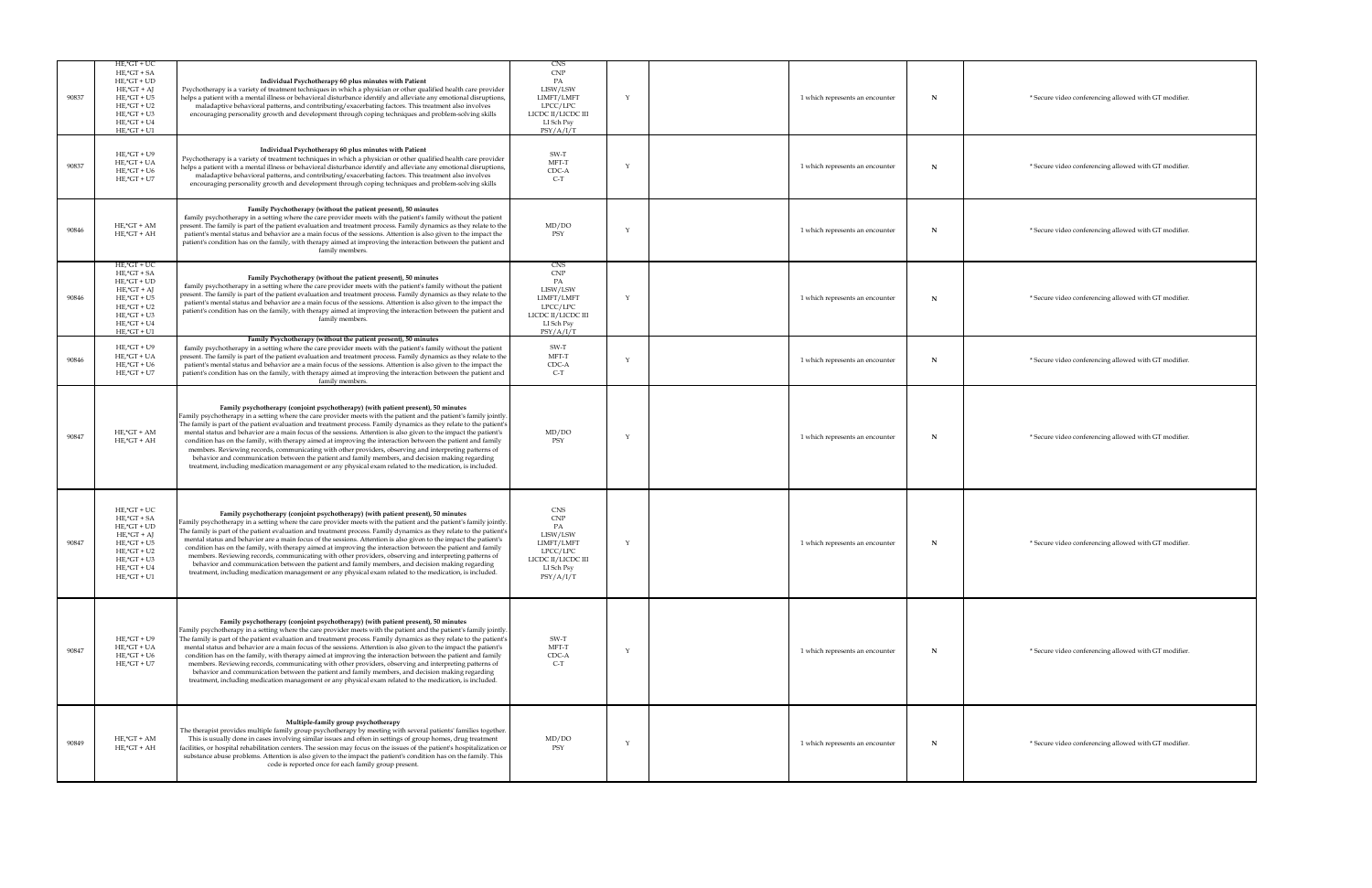| 90837 | $HE$ ,* $GT + UC$<br>$HE$ ,* $GT$ + SA<br>$HE$ ,* $GT + UD$<br>$HE$ ,* $GT + AJ$<br>$HE$ ,* $GT + US$<br>$HE$ ,* $GT + U2$<br>$HE$ ,* $GT + U3$<br>$HE$ ,* $GT + U4$<br>$HE$ ,* $GT + U1$   | Individual Psychotherapy 60 plus minutes with Patient<br>Psychotherapy is a variety of treatment techniques in which a physician or other qualified health care provider<br>helps a patient with a mental illness or behavioral disturbance identify and alleviate any emotional disruptions,<br>maladaptive behavioral patterns, and contributing/exacerbating factors. This treatment also involves<br>encouraging personality growth and development through coping techniques and problem-solving skills                                                                                                                                                                                                                                                                                                                                                                              | CNS<br>CNP<br>LISW/LSW<br>LIMFT/LMFT<br>LPCC/LPC<br>LICDC II/LICDC III<br>LI Sch Psy<br>PSY/A/I/T                     | 1 which represents an encounter | * Secure video conferencing allowed with GT modifier. |
|-------|---------------------------------------------------------------------------------------------------------------------------------------------------------------------------------------------|-------------------------------------------------------------------------------------------------------------------------------------------------------------------------------------------------------------------------------------------------------------------------------------------------------------------------------------------------------------------------------------------------------------------------------------------------------------------------------------------------------------------------------------------------------------------------------------------------------------------------------------------------------------------------------------------------------------------------------------------------------------------------------------------------------------------------------------------------------------------------------------------|-----------------------------------------------------------------------------------------------------------------------|---------------------------------|-------------------------------------------------------|
| 90837 | $HE$ ,* $GT + U9$<br>$HE$ ,* $GT + UA$<br>$HE$ ,* $GT + U6$<br>$HE$ ,* $GT + U7$                                                                                                            | Individual Psychotherapy 60 plus minutes with Patient<br>Psychotherapy is a variety of treatment techniques in which a physician or other qualified health care provider<br>helps a patient with a mental illness or behavioral disturbance identify and alleviate any emotional disruptions,<br>maladaptive behavioral patterns, and contributing/exacerbating factors. This treatment also involves<br>encouraging personality growth and development through coping techniques and problem-solving skills                                                                                                                                                                                                                                                                                                                                                                              | SW-T<br>MFT-T<br>CDC-A<br>$C-T$                                                                                       | 1 which represents an encounter | * Secure video conferencing allowed with GT modifier. |
| 90846 | $HE$ ,* $GT + AM$<br>$HE$ ,* $GT + AH$                                                                                                                                                      | Family Psychotherapy (without the patient present), 50 minutes<br>family psychotherapy in a setting where the care provider meets with the patient's family without the patient<br>present. The family is part of the patient evaluation and treatment process. Family dynamics as they relate to the<br>patient's mental status and behavior are a main focus of the sessions. Attention is also given to the impact the<br>patient's condition has on the family, with therapy aimed at improving the interaction between the patient and<br>family members.                                                                                                                                                                                                                                                                                                                            | MD/DO<br>PSY                                                                                                          | 1 which represents an encounter | * Secure video conferencing allowed with GT modifier. |
| 90846 | $HE$ ,* $GT + UC$<br>$HE$ ,* $GT$ + $SA$<br>$HE$ ,* $GT + UD$<br>$HE$ ,* $GT + AJ$<br>$HE$ ,* $GT + U5$<br>$HE$ ,* $GT + U2$<br>$HE$ ,* $GT + U3$<br>$HE$ ,* $GT + U4$<br>$HE$ ,* $GT + U1$ | Family Psychotherapy (without the patient present), 50 minutes<br>family psychotherapy in a setting where the care provider meets with the patient's family without the patient<br>present. The family is part of the patient evaluation and treatment process. Family dynamics as they relate to the<br>patient's mental status and behavior are a main focus of the sessions. Attention is also given to the impact the<br>patient's condition has on the family, with therapy aimed at improving the interaction between the patient and<br>family members.                                                                                                                                                                                                                                                                                                                            | <b>CNS</b><br>CNP<br>LISW/LSW<br>LIMFT/LMFT<br>LPCC/LPC<br>LICDC II/LICDC III<br>LI Sch Psy<br>PSY/A/I/T              | 1 which represents an encounter | * Secure video conferencing allowed with GT modifier. |
| 90846 | $HE$ ,* $GT + U9$<br>$HE$ ,* $GT + UA$<br>$HE$ ,* $GT + U6$<br>$HE$ ,* $GT + U7$                                                                                                            | Family Psychotherapy (without the patient present), 50 minutes<br>family psychotherapy in a setting where the care provider meets with the patient's family without the patient<br>present. The family is part of the patient evaluation and treatment process. Family dynamics as they relate to the<br>patient's mental status and behavior are a main focus of the sessions. Attention is also given to the impact the<br>patient's condition has on the family, with therapy aimed at improving the interaction between the patient and<br>family members.                                                                                                                                                                                                                                                                                                                            | SW-T<br>MFT-T<br>CDC-A<br>$C-T$                                                                                       | 1 which represents an encounter | * Secure video conferencing allowed with GT modifier. |
| 90847 | $HE$ ,* $GT + AM$<br>$HE$ ,* $GT + AH$                                                                                                                                                      | Family psychotherapy (conjoint psychotherapy) (with patient present), 50 minutes<br>Family psychotherapy in a setting where the care provider meets with the patient and the patient's family jointly.<br>The family is part of the patient evaluation and treatment process. Family dynamics as they relate to the patient's<br>mental status and behavior are a main focus of the sessions. Attention is also given to the impact the patient's<br>condition has on the family, with therapy aimed at improving the interaction between the patient and family<br>members. Reviewing records, communicating with other providers, observing and interpreting patterns of<br>behavior and communication between the patient and family members, and decision making regarding<br>treatment, including medication management or any physical exam related to the medication, is included. | MD/DO                                                                                                                 | 1 which represents an encounter | * Secure video conferencing allowed with GT modifier. |
| 90847 | $HE$ ,* $GT + UC$<br>$HE$ ,* $GT$ + $SA$<br>$HE$ , $*GT + UD$<br>$HE$ ,* $GT + AJ$<br>$HE$ ,* $GT + U5$<br>$HE$ ,* $GT + U2$<br>$HE$ ,* $GT + U3$<br>$HE$ ,* $GT + U4$<br>$HE$ ,* $GT + U1$ | Family psychotherapy (conjoint psychotherapy) (with patient present), 50 minutes<br>Family psychotherapy in a setting where the care provider meets with the patient and the patient's family jointly.<br>The family is part of the patient evaluation and treatment process. Family dynamics as they relate to the patient's<br>mental status and behavior are a main focus of the sessions. Attention is also given to the impact the patient's<br>condition has on the family, with therapy aimed at improving the interaction between the patient and family<br>members. Reviewing records, communicating with other providers, observing and interpreting patterns of<br>behavior and communication between the patient and family members, and decision making regarding<br>treatment, including medication management or any physical exam related to the medication, is included. | <b>CNS</b><br><b>CNP</b><br>PA<br>LISW/LSW<br>LIMFT/LMFT<br>LPCC/LPC<br>LICDC II/LICDC III<br>LI Sch Psy<br>PSY/A/I/T | 1 which represents an encounter | * Secure video conferencing allowed with GT modifier. |
| 90847 | $HE$ ,* $GT + U9$<br>$HE$ ,* $GT + UA$<br>$HE$ ,* $GT + U6$<br>$HE$ ,* $GT + U7$                                                                                                            | Family psychotherapy (conjoint psychotherapy) (with patient present), 50 minutes<br>Family psychotherapy in a setting where the care provider meets with the patient and the patient's family jointly.<br>The family is part of the patient evaluation and treatment process. Family dynamics as they relate to the patient's<br>mental status and behavior are a main focus of the sessions. Attention is also given to the impact the patient's<br>condition has on the family, with therapy aimed at improving the interaction between the patient and family<br>members. Reviewing records, communicating with other providers, observing and interpreting patterns of<br>behavior and communication between the patient and family members, and decision making regarding<br>treatment, including medication management or any physical exam related to the medication, is included. | SW-T<br>MFT-T<br>CDC-A<br>$C-T$                                                                                       | 1 which represents an encounter | * Secure video conferencing allowed with GT modifier. |
| 90849 | $HE$ ,* $GT + AM$<br>$HE$ ,* $GT + AH$                                                                                                                                                      | Multiple-family group psychotherapy<br>The therapist provides multiple family group psychotherapy by meeting with several patients' families together.<br>This is usually done in cases involving similar issues and often in settings of group homes, drug treatment<br>facilities, or hospital rehabilitation centers. The session may focus on the issues of the patient's hospitalization or<br>substance abuse problems. Attention is also given to the impact the patient's condition has on the family. This<br>code is reported once for each family group present.                                                                                                                                                                                                                                                                                                               | MD/DO<br>PSY                                                                                                          | 1 which represents an encounter | * Secure video conferencing allowed with GT modifier. |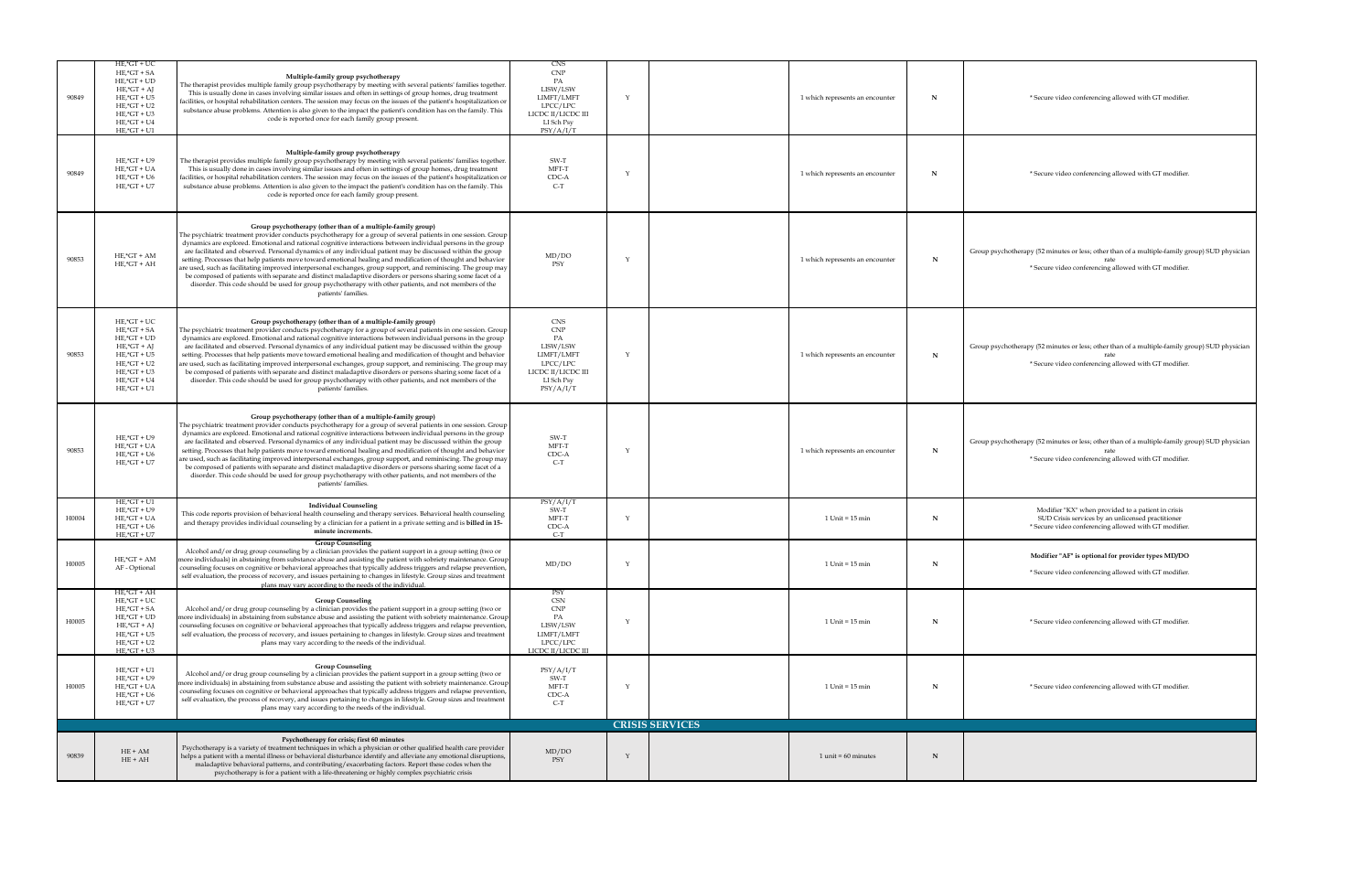| 90849 | $HE$ ,* $GT + UC$<br>$HE$ ,* $GT$ + $SA$<br>$HE$ ,* $GT + UD$<br>$HE$ ,* $GT + AJ$<br>$HE$ ,* $GT + U5$<br>$HE$ ,* $GT + U2$<br>$HE$ , $*GT + U3$<br>$HE$ ,* $GT + U4$<br>$HE$ ,* $GT + U1$ | Multiple-family group psychotherapy<br>The therapist provides multiple family group psychotherapy by meeting with several patients' families together.<br>This is usually done in cases involving similar issues and often in settings of group homes, drug treatment<br>$\vert$ facilities, or hospital rehabilitation centers. The session may focus on the issues of the patient's hospitalization or<br>substance abuse problems. Attention is also given to the impact the patient's condition has on the family. This<br>code is reported once for each family group present.                                                                                                                                                                                                                                                                                                                   | <b>CNS</b><br><b>CNP</b><br>PA<br>LISW/LSW<br>LIMFT/LMFT<br>LPCC/LPC<br>LICDC II/LICDC III<br>LI Sch Psy<br>PSY/A/I/T | 1 which represents an encounter | * Secure video conferencing allowed with GT modifier.                                                                                                            |
|-------|---------------------------------------------------------------------------------------------------------------------------------------------------------------------------------------------|-------------------------------------------------------------------------------------------------------------------------------------------------------------------------------------------------------------------------------------------------------------------------------------------------------------------------------------------------------------------------------------------------------------------------------------------------------------------------------------------------------------------------------------------------------------------------------------------------------------------------------------------------------------------------------------------------------------------------------------------------------------------------------------------------------------------------------------------------------------------------------------------------------|-----------------------------------------------------------------------------------------------------------------------|---------------------------------|------------------------------------------------------------------------------------------------------------------------------------------------------------------|
| 90849 | $HE$ ,* $GT + U9$<br>$HE$ ,* $GT + UA$<br>$HE$ ,* $GT + U6$<br>$HE$ ,* $GT + U7$                                                                                                            | Multiple-family group psychotherapy<br>The therapist provides multiple family group psychotherapy by meeting with several patients' families together.<br>This is usually done in cases involving similar issues and often in settings of group homes, drug treatment<br>facilities, or hospital rehabilitation centers. The session may focus on the issues of the patient's hospitalization or<br>substance abuse problems. Attention is also given to the impact the patient's condition has on the family. This<br>code is reported once for each family group present.                                                                                                                                                                                                                                                                                                                           | SW-T<br>MFT-T<br>CDC-A<br>$C-T$                                                                                       | 1 which represents an encounter | * Secure video conferencing allowed with GT modifier.                                                                                                            |
| 90853 | $HE$ ,* $GT + AM$<br>$HE$ ,* $GT + AH$                                                                                                                                                      | Group psychotherapy (other than of a multiple-family group)<br>The psychiatric treatment provider conducts psychotherapy for a group of several patients in one session. Group<br>dynamics are explored. Emotional and rational cognitive interactions between individual persons in the group<br>are facilitated and observed. Personal dynamics of any individual patient may be discussed within the group<br>setting. Processes that help patients move toward emotional healing and modification of thought and behavior<br>  are used, such as facilitating improved interpersonal exchanges, group support, and reminiscing. The group may  <br>be composed of patients with separate and distinct maladaptive disorders or persons sharing some facet of a<br>disorder. This code should be used for group psychotherapy with other patients, and not members of the<br>patients' families.   | MD/DO<br>PSY                                                                                                          | 1 which represents an encounter | Group psychotherapy (52 minutes or less; other than of a multiple-family group) SUD phy<br>* Secure video conferencing allowed with GT modifier.                 |
| 90853 | $HE$ ,* $GT + UC$<br>$HE$ ,* $GT$ + $SA$<br>$HE$ ,* $GT + UD$<br>$HE$ ,* $GT + AJ$<br>$HE$ ,* $GT + U5$<br>$HE$ ,* $GT + U2$<br>$HE$ ,* $GT + U3$<br>$HE$ ,* $GT + U4$<br>$HE$ ,* $GT + U1$ | Group psychotherapy (other than of a multiple-family group)<br>The psychiatric treatment provider conducts psychotherapy for a group of several patients in one session. Group  <br>dynamics are explored. Emotional and rational cognitive interactions between individual persons in the group<br>are facilitated and observed. Personal dynamics of any individual patient may be discussed within the group<br>setting. Processes that help patients move toward emotional healing and modification of thought and behavior<br>are used, such as facilitating improved interpersonal exchanges, group support, and reminiscing. The group may<br>be composed of patients with separate and distinct maladaptive disorders or persons sharing some facet of a<br>disorder. This code should be used for group psychotherapy with other patients, and not members of the<br>patients' families.     | <b>CNS</b><br><b>CNP</b><br>PA<br>LISW/LSW<br>LIMFT/LMFT<br>LPCC/LPC<br>LICDC II/LICDC III<br>LI Sch Psy<br>PSY/A/I/T | 1 which represents an encounter | Group psychotherapy (52 minutes or less; other than of a multiple-family group) SUD phy<br>* Secure video conferencing allowed with GT modifier.                 |
| 90853 | $HE$ ,* $GT + U9$<br>$HE$ ,* $GT + UA$<br>$HE$ ,* $GT + U6$<br>$HE$ ,* $GT + U7$                                                                                                            | Group psychotherapy (other than of a multiple-family group)<br>The psychiatric treatment provider conducts psychotherapy for a group of several patients in one session. Group  <br>dynamics are explored. Emotional and rational cognitive interactions between individual persons in the group<br>are facilitated and observed. Personal dynamics of any individual patient may be discussed within the group<br>setting. Processes that help patients move toward emotional healing and modification of thought and behavior<br>  are used, such as facilitating improved interpersonal exchanges, group support, and reminiscing. The group may  <br>be composed of patients with separate and distinct maladaptive disorders or persons sharing some facet of a<br>disorder. This code should be used for group psychotherapy with other patients, and not members of the<br>patients' families. | SW-T<br>MFT-T<br>CDC-A<br>$C-T$                                                                                       | 1 which represents an encounter | Group psychotherapy (52 minutes or less; other than of a multiple-family group) SUD phy<br>* Secure video conferencing allowed with GT modifier.                 |
| H0004 | $HE$ ,* $GT + U1$<br>$HE$ ,* $GT + U9$<br>$HE$ ,* $GT + UA$<br>$HE$ ,* $GT + U6$<br>$HE$ ,* $GT + U7$                                                                                       | <b>Individual Counseling</b><br>This code reports provision of behavioral health counseling and therapy services. Behavioral health counseling<br>and therapy provides individual counseling by a clinician for a patient in a private setting and is <b>billed in 15-</b><br>minute increments.                                                                                                                                                                                                                                                                                                                                                                                                                                                                                                                                                                                                      | PSY/A/I/T<br>SW-T<br>MFT-T<br>CDC-A<br>$C-T$                                                                          | $1$ Unit = $15$ min             | Modifier "KX" when provided to a patient in crisis<br>SUD Crisis services by an unlicensed practitioner<br>* Secure video conferencing allowed with GT modifier. |
| H0005 | $HE$ ,* $GT + AM$<br>AF - Optional                                                                                                                                                          | <b>Group Counseling</b><br>Alcohol and/or drug group counseling by a clinician provides the patient support in a group setting (two or<br>more individuals) in abstaining from substance abuse and assisting the patient with sobriety maintenance. Group<br>counseling focuses on cognitive or behavioral approaches that typically address triggers and relapse prevention,<br>self evaluation, the process of recovery, and issues pertaining to changes in lifestyle. Group sizes and treatment<br>plans may vary according to the needs of the individual.                                                                                                                                                                                                                                                                                                                                       | MD/DO                                                                                                                 | $1$ Unit = $15$ min             | Modifier "AF" is optional for provider types MD/DO<br>* Secure video conferencing allowed with GT modifier.                                                      |
| H0005 | $HE$ ,* $GT + AH$<br>$HE$ ,* $GT + UC$<br>$HE$ ,* $GT$ + SA<br>$HE$ ,* $GT + UD$<br>$HE$ ,* $GT + AJ$<br>$HE$ ,* $GT + U5$<br>$HE$ ,* $GT + U2$<br>$HE$ ,* $GT + U3$                        | <b>Group Counseling</b><br>Alcohol and/or drug group counseling by a clinician provides the patient support in a group setting (two or<br>more individuals) in abstaining from substance abuse and assisting the patient with sobriety maintenance. Group<br>counseling focuses on cognitive or behavioral approaches that typically address triggers and relapse prevention,<br>self evaluation, the process of recovery, and issues pertaining to changes in lifestyle. Group sizes and treatment<br>plans may vary according to the needs of the individual.                                                                                                                                                                                                                                                                                                                                       | PSY<br><b>CSN</b><br><b>CNP</b><br>PA<br>LISW/LSW<br>LIMFT/LMFT<br>LPCC/LPC<br>LICDC II/LICDC III                     | $1$ Unit = $15$ min             | * Secure video conferencing allowed with GT modifier.                                                                                                            |
| H0005 | $HE$ , $*GT + U1$<br>$HE$ ,* $GT + U9$<br>$HE$ ,* $GT + UA$<br>$HE$ ,* $GT + U6$<br>$HE$ ,* $GT + U7$                                                                                       | <b>Group Counseling</b><br>Alcohol and/or drug group counseling by a clinician provides the patient support in a group setting (two or<br>more individuals) in abstaining from substance abuse and assisting the patient with sobriety maintenance. Group<br>counseling focuses on cognitive or behavioral approaches that typically address triggers and relapse prevention,<br>self evaluation, the process of recovery, and issues pertaining to changes in lifestyle. Group sizes and treatment<br>plans may vary according to the needs of the individual.                                                                                                                                                                                                                                                                                                                                       | PSY/A/I/T<br>SW-T<br>MFT-T<br>CDC-A<br>$C-T$                                                                          | $1$ Unit = $15$ min             | * Secure video conferencing allowed with GT modifier.                                                                                                            |
|       |                                                                                                                                                                                             |                                                                                                                                                                                                                                                                                                                                                                                                                                                                                                                                                                                                                                                                                                                                                                                                                                                                                                       |                                                                                                                       | <b>CRISIS SERVICES</b>          |                                                                                                                                                                  |
| 90839 | $HE + AM$<br>$HE + AH$                                                                                                                                                                      | Psychotherapy for crisis; first 60 minutes<br>Psychotherapy is a variety of treatment techniques in which a physician or other qualified health care provider<br>helps a patient with a mental illness or behavioral disturbance identify and alleviate any emotional disruptions,<br>maladaptive behavioral patterns, and contributing/exacerbating factors. Report these codes when the<br>psychotherapy is for a patient with a life-threatening or highly complex psychiatric crisis                                                                                                                                                                                                                                                                                                                                                                                                              | MD/DO<br>PSY                                                                                                          | $1$ unit = 60 minutes           |                                                                                                                                                                  |

han of a multiple-family group) SUD physician allowed with GT modifier.

han of a multiple-family group) SUD physician allowed with GT modifier.

han of a multiple-family group) SUD physician allowed with GT modifier.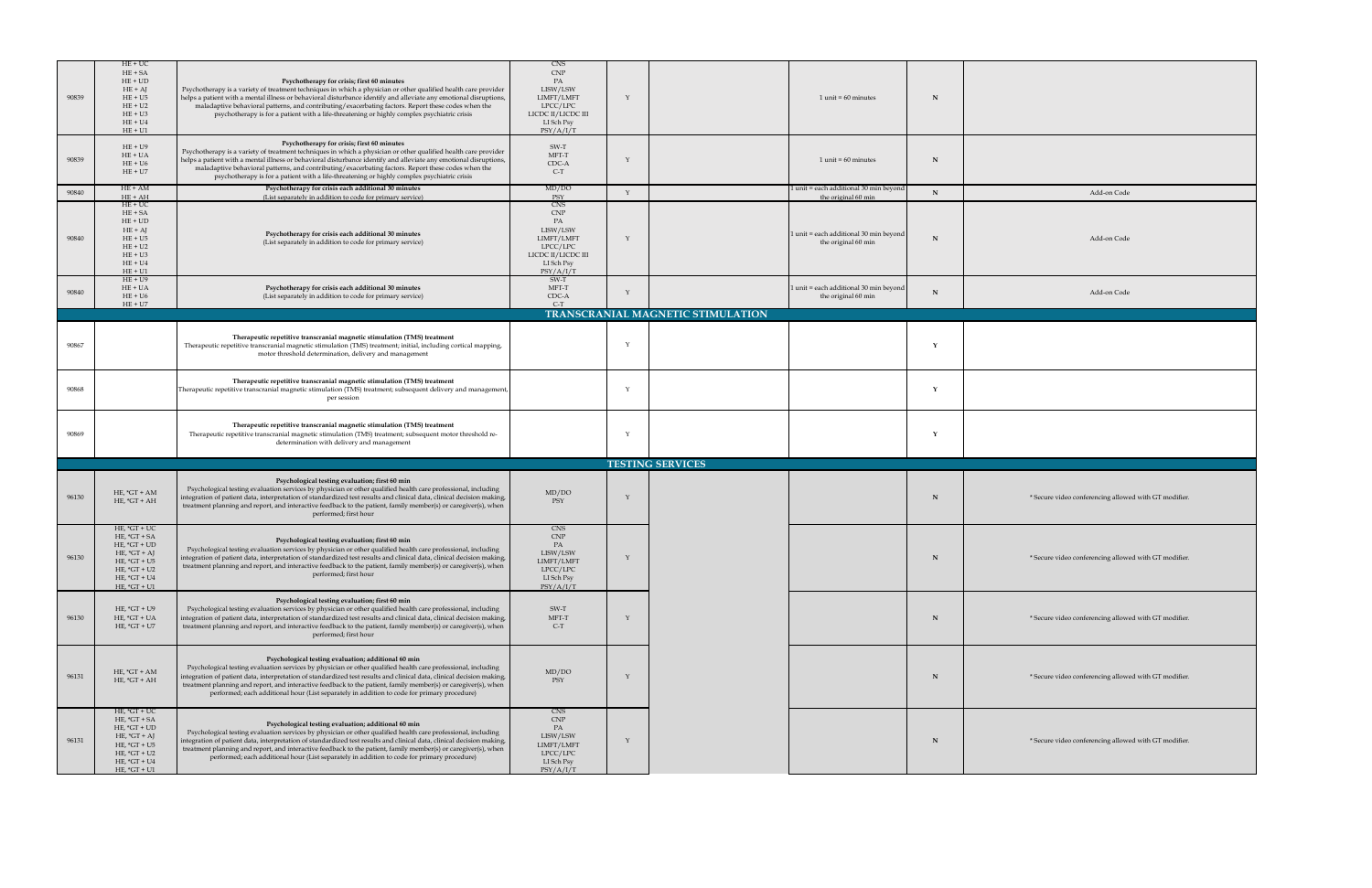| 90839 | $HE+UC$<br>$HE + SA$<br>$HE + UD$<br>$HE + AJ$<br>$HE + U5$<br>$HE + U2$<br>$HE + U3$<br>$HE + U4$<br>$HE + U1$                              | Psychotherapy for crisis; first 60 minutes<br>Psychotherapy is a variety of treatment techniques in which a physician or other qualified health care provider<br>helps a patient with a mental illness or behavioral disturbance identify and alleviate any emotional disruptions,<br>maladaptive behavioral patterns, and contributing/exacerbating factors. Report these codes when the<br>psychotherapy is for a patient with a life-threatening or highly complex psychiatric crisis                       | CNS<br><b>CNP</b><br>LISW/LSW<br>LIMFT/LMFT<br>LPCC/LPC<br>LICDC II/LICDC III<br>LI Sch Psy<br>PSY/A/I/T |                                          | $1$ unit = 60 minutes                                           |             |                                                       |
|-------|----------------------------------------------------------------------------------------------------------------------------------------------|----------------------------------------------------------------------------------------------------------------------------------------------------------------------------------------------------------------------------------------------------------------------------------------------------------------------------------------------------------------------------------------------------------------------------------------------------------------------------------------------------------------|----------------------------------------------------------------------------------------------------------|------------------------------------------|-----------------------------------------------------------------|-------------|-------------------------------------------------------|
| 90839 | $HE + U9$<br>$HE + UA$<br>$HE + U6$<br>$HE + U7$                                                                                             | Psychotherapy for crisis; first 60 minutes<br>Psychotherapy is a variety of treatment techniques in which a physician or other qualified health care provider<br>helps a patient with a mental illness or behavioral disturbance identify and alleviate any emotional disruptions,<br>maladaptive behavioral patterns, and contributing/exacerbating factors. Report these codes when the<br>psychotherapy is for a patient with a life-threatening or highly complex psychiatric crisis                       | SW-T<br>MFT-T<br>CDC-A<br>$C-T$                                                                          |                                          | $1$ unit = 60 minutes                                           | $\mathbf N$ |                                                       |
| 90840 | $HE + AM$<br>$HE + AH$                                                                                                                       | Psychotherapy for crisis each additional 30 minutes<br>(List separately in addition to code for primary service)                                                                                                                                                                                                                                                                                                                                                                                               | MD/DO<br>PSY                                                                                             |                                          | 1 unit = each additional 30 min beyond<br>the original 60 min   |             | Add-on Code                                           |
| 90840 | $HE+UC$<br>$HE + SA$<br>$HE + UD$<br>$HE + AJ$<br>$HE + U5$<br>$HE + U2$<br>$HE + U3$<br>$HE + U4$<br>$HE + U1$                              | Psychotherapy for crisis each additional 30 minutes<br>(List separately in addition to code for primary service)                                                                                                                                                                                                                                                                                                                                                                                               | CNS<br><b>CNP</b><br>LISW/LSW<br>LIMFT/LMFT<br>LPCC/LPC<br>LICDC II/LICDC III<br>LI Sch Psy<br>PSY/A/I/T |                                          | $1$ unit = each additional 30 min beyond<br>the original 60 min |             | Add-on Code                                           |
| 90840 | $HE + U9$<br>$HE + UA$<br>$HE + U6$<br>$HE + U7$                                                                                             | Psychotherapy for crisis each additional 30 minutes<br>(List separately in addition to code for primary service)                                                                                                                                                                                                                                                                                                                                                                                               | SW-T<br>MFT-T<br>CDC-A<br>$C-T$                                                                          |                                          | 1 unit = each additional 30 min beyond<br>the original 60 min   |             | Add-on Code                                           |
|       |                                                                                                                                              |                                                                                                                                                                                                                                                                                                                                                                                                                                                                                                                |                                                                                                          | <b>TRANSCRANIAL MAGNETIC STIMULATION</b> |                                                                 |             |                                                       |
| 90867 |                                                                                                                                              | Therapeutic repetitive transcranial magnetic stimulation (TMS) treatment<br>Therapeutic repetitive transcranial magnetic stimulation (TMS) treatment; initial, including cortical mapping,<br>motor threshold determination, delivery and management                                                                                                                                                                                                                                                           |                                                                                                          |                                          |                                                                 |             |                                                       |
| 90868 |                                                                                                                                              | Therapeutic repetitive transcranial magnetic stimulation (TMS) treatment<br>Therapeutic repetitive transcranial magnetic stimulation (TMS) treatment; subsequent delivery and management,<br>per session                                                                                                                                                                                                                                                                                                       |                                                                                                          |                                          |                                                                 |             |                                                       |
| 90869 |                                                                                                                                              | Therapeutic repetitive transcranial magnetic stimulation (TMS) treatment<br>Therapeutic repetitive transcranial magnetic stimulation (TMS) treatment; subsequent motor threshold re-<br>determination with delivery and management                                                                                                                                                                                                                                                                             |                                                                                                          |                                          |                                                                 |             |                                                       |
|       |                                                                                                                                              |                                                                                                                                                                                                                                                                                                                                                                                                                                                                                                                |                                                                                                          | <b>TESTING SERVICES</b>                  |                                                                 |             |                                                       |
| 96130 | HE, $*GT + AM$<br>$HE, *GT + AH$                                                                                                             | Psychological testing evaluation; first 60 min<br>Psychological testing evaluation services by physician or other qualified health care professional, including<br>integration of patient data, interpretation of standardized test results and clinical data, clinical decision making,<br>treatment planning and report, and interactive feedback to the patient, family member(s) or caregiver(s), when<br>performed; first hour                                                                            | MD/DO<br>PSY                                                                                             |                                          |                                                                 |             | * Secure video conferencing allowed with GT modifier. |
| 96130 | HE, $*GT + UC$<br>$HE, *GT + SA$<br>HE, $*GT + UD$<br>HE, $*GT + AJ$<br>HE, $*GT + US$<br>HE, $*GT + U2$<br>$HE, *GT + U4$<br>HE, $*GT + U1$ | Psychological testing evaluation; first 60 min<br>Psychological testing evaluation services by physician or other qualified health care professional, including<br>integration of patient data, interpretation of standardized test results and clinical data, clinical decision making,<br>treatment planning and report, and interactive feedback to the patient, family member(s) or caregiver(s), when<br>performed; first hour                                                                            | CNS<br><b>CNP</b><br>LISW/LSW<br>LIMFT/LMFT<br>LPCC/LPC<br>LI Sch Psy<br>PSY/A/I/T                       |                                          |                                                                 |             | * Secure video conferencing allowed with GT modifier. |
| 96130 | HE, $*GT + U9$<br>$HE, *GT + UA$<br>HE, $*GT + U7$                                                                                           | Psychological testing evaluation; first 60 min<br>Psychological testing evaluation services by physician or other qualified health care professional, including<br>integration of patient data, interpretation of standardized test results and clinical data, clinical decision making,<br>treatment planning and report, and interactive feedback to the patient, family member(s) or caregiver(s), when<br>performed; first hour                                                                            | SW-T<br>MFT-T<br>$C-T$                                                                                   |                                          |                                                                 |             | * Secure video conferencing allowed with GT modifier. |
| 96131 | $HE, *GT + AM$<br>$HE, *GT + AH$                                                                                                             | Psychological testing evaluation; additional 60 min<br>Psychological testing evaluation services by physician or other qualified health care professional, including<br>integration of patient data, interpretation of standardized test results and clinical data, clinical decision making,<br>treatment planning and report, and interactive feedback to the patient, family member(s) or caregiver(s), when<br>performed; each additional hour (List separately in addition to code for primary procedure) | MD/DO<br>PSY                                                                                             |                                          |                                                                 |             | * Secure video conferencing allowed with GT modifier. |
| 96131 | $HE, *GT + UC$<br>$HE, *GT + SA$<br>HE, $*GT + UD$<br>$HE, *GT + AJ$<br>$HE, *GT + U5$<br>$HE, *GT + U2$<br>$HE, *GT + U4$<br>HE, $*GT + U1$ | Psychological testing evaluation; additional 60 min<br>Psychological testing evaluation services by physician or other qualified health care professional, including<br>integration of patient data, interpretation of standardized test results and clinical data, clinical decision making,<br>treatment planning and report, and interactive feedback to the patient, family member(s) or caregiver(s), when<br>performed; each additional hour (List separately in addition to code for primary procedure) | CNS<br><b>CNP</b><br>LISW/LSW<br>LIMFT/LMFT<br>LPCC/LPC<br>LI Sch Psy<br>PSY/A/I/T                       |                                          |                                                                 |             | * Secure video conferencing allowed with GT modifier. |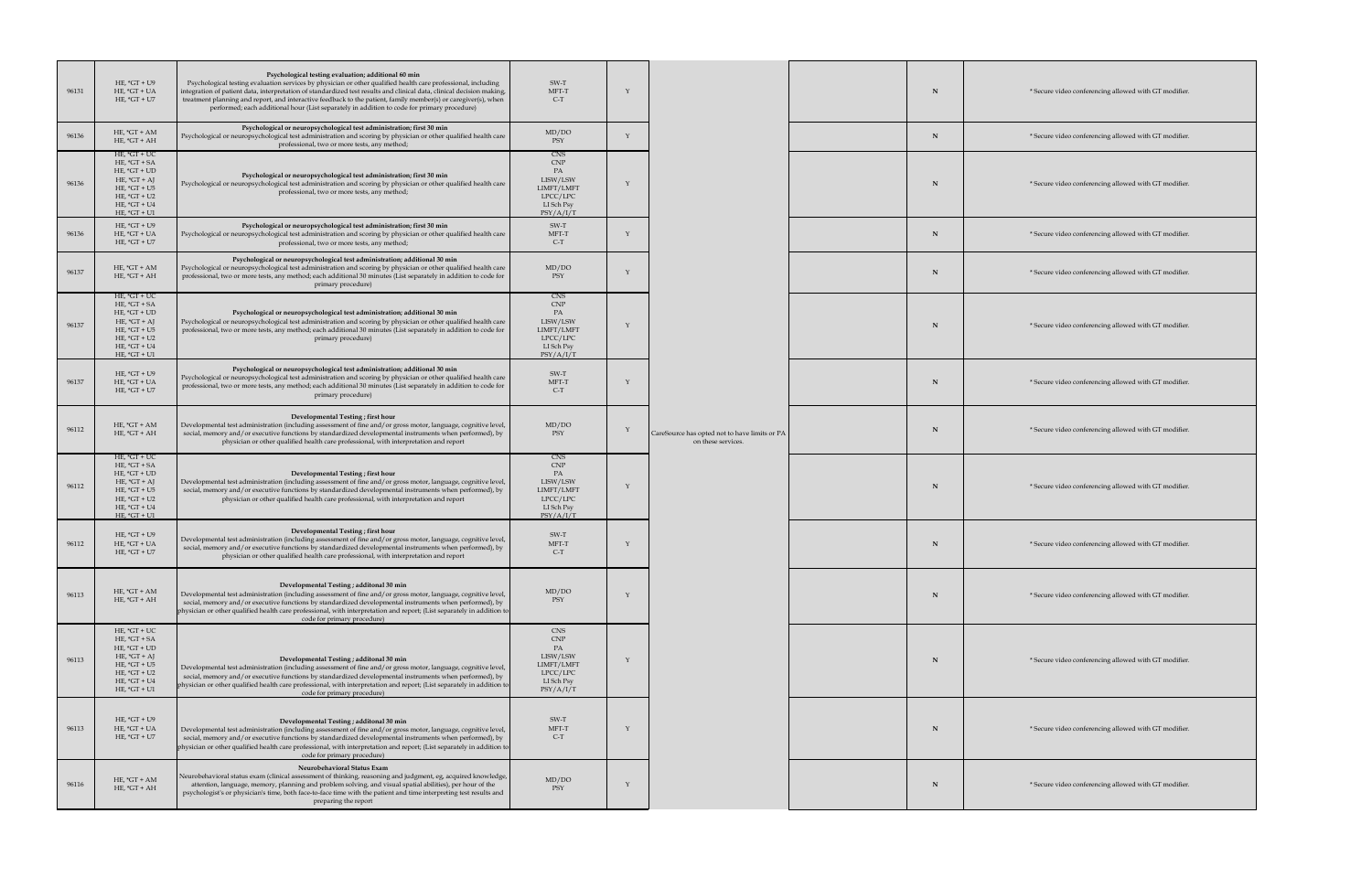| 96131 | HE, $*GT + U9$<br>HE, $*GT + UA$<br>HE, $*GT + U7$                                                                                           | Psychological testing evaluation; additional 60 min<br>Psychological testing evaluation services by physician or other qualified health care professional, including<br>integration of patient data, interpretation of standardized test results and clinical data, clinical decision making,<br>treatment planning and report, and interactive feedback to the patient, family member(s) or caregiver(s), when<br>performed; each additional hour (List separately in addition to code for primary procedure) | SW-T<br>MFT-T<br>$C-T$                                                             |                                                                     |  | * Secure video conferencing allowed with GT modifier. |
|-------|----------------------------------------------------------------------------------------------------------------------------------------------|----------------------------------------------------------------------------------------------------------------------------------------------------------------------------------------------------------------------------------------------------------------------------------------------------------------------------------------------------------------------------------------------------------------------------------------------------------------------------------------------------------------|------------------------------------------------------------------------------------|---------------------------------------------------------------------|--|-------------------------------------------------------|
| 96136 | HE, $*GT + AM$<br>$HE, *GT + AH$                                                                                                             | Psychological or neuropsychological test administration; first 30 min<br>Psychological or neuropsychological test administration and scoring by physician or other qualified health care<br>professional, two or more tests, any method;                                                                                                                                                                                                                                                                       | MD/DO<br>PSY                                                                       |                                                                     |  | * Secure video conferencing allowed with GT modifier. |
| 96136 | HE, $*GT + UC$<br>HE, $*GT + SA$<br>$HE, *GT + UD$<br>HE, $*GT + AJ$<br>HE, $*GT + US$<br>$HE, *GT + U2$<br>HE, $*GT + U4$<br>$HE, *GT + U1$ | Psychological or neuropsychological test administration; first 30 min<br>Psychological or neuropsychological test administration and scoring by physician or other qualified health care<br>professional, two or more tests, any method;                                                                                                                                                                                                                                                                       | CNS<br><b>CNP</b><br>LISW/LSW<br>LIMFT/LMFT<br>LPCC/LPC<br>LI Sch Psy<br>PSY/A/I/T |                                                                     |  | * Secure video conferencing allowed with GT modifier. |
| 96136 | HE, $*GT + U9$<br>$HE, *GT + UA$<br>HE, $*GT + U7$                                                                                           | Psychological or neuropsychological test administration; first 30 min<br>Psychological or neuropsychological test administration and scoring by physician or other qualified health care<br>professional, two or more tests, any method;                                                                                                                                                                                                                                                                       | SW-T<br>MFT-T<br>$C-T$                                                             |                                                                     |  | * Secure video conferencing allowed with GT modifier. |
| 96137 | HE, $*GT + AM$<br>$HE, *GT + AH$                                                                                                             | Psychological or neuropsychological test administration; additional 30 min<br>Psychological or neuropsychological test administration and scoring by physician or other qualified health care<br>professional, two or more tests, any method; each additional 30 minutes (List separately in addition to code for<br>primary procedure)                                                                                                                                                                        | MD/DO<br>PSY                                                                       |                                                                     |  | * Secure video conferencing allowed with GT modifier. |
| 96137 | HE, $*GT + UC$<br>$HE, *GT + SA$<br>$HE, *GT + UD$<br>HE, $*GT + AJ$<br>HE, $*GT + US$<br>$HE, *GT + U2$<br>HE, $*GT + U4$<br>$HE, *GT + U1$ | Psychological or neuropsychological test administration; additional 30 min<br>Psychological or neuropsychological test administration and scoring by physician or other qualified health care<br>professional, two or more tests, any method; each additional 30 minutes (List separately in addition to code for<br>primary procedure)                                                                                                                                                                        | CNS<br><b>CNP</b><br>LISW/LSW<br>LIMFT/LMFT<br>LPCC/LPC<br>LI Sch Psy<br>PSY/A/I/T |                                                                     |  | * Secure video conferencing allowed with GT modifier. |
| 96137 | HE, $*GT + U9$<br>$HE, *GT + UA$<br>HE, $*GT + U7$                                                                                           | Psychological or neuropsychological test administration; additional 30 min<br>Psychological or neuropsychological test administration and scoring by physician or other qualified health care<br>professional, two or more tests, any method; each additional 30 minutes (List separately in addition to code for<br>primary procedure)                                                                                                                                                                        | SW-T<br>MFT-T<br>$C-T$                                                             |                                                                     |  | * Secure video conferencing allowed with GT modifier. |
| 96112 | $HE, *GT + AM$<br>$HE, *GT + AH$                                                                                                             | Developmental Testing; first hour<br>Developmental test administration (including assessment of fine and/or gross motor, language, cognitive level,<br>social, memory and/or executive functions by standardized developmental instruments when performed), by<br>physician or other qualified health care professional, with interpretation and report                                                                                                                                                        | MD/DO<br>PSY                                                                       | CareSource has opted not to have limits or PA<br>on these services. |  | * Secure video conferencing allowed with GT modifier. |
| 96112 | $HE, *GT + UC$<br>$HE, *GT + SA$<br>HE, $*GT + UD$<br>HE, $*GT + AJ$<br>HE, $*GT + US$<br>$HE, *GT + U2$<br>$HE, *GT + U4$<br>HE, $*GT + U1$ | Developmental Testing; first hour<br>Developmental test administration (including assessment of fine and/or gross motor, language, cognitive level,<br>social, memory and/or executive functions by standardized developmental instruments when performed), by<br>physician or other qualified health care professional, with interpretation and report                                                                                                                                                        | CNS<br><b>CNP</b><br>LISW/LSW<br>LIMFT/LMFT<br>LPCC/LPC<br>LI Sch Psy<br>PSY/A/I/T |                                                                     |  | * Secure video conferencing allowed with GT modifier. |
| 96112 | HE, $*GT + U9$<br>$HE, *GT + UA$<br>HE, $*GT + U7$                                                                                           | Developmental Testing; first hour<br>Developmental test administration (including assessment of fine and/or gross motor, language, cognitive level,<br>social, memory and/or executive functions by standardized developmental instruments when performed), by<br>physician or other qualified health care professional, with interpretation and report                                                                                                                                                        | SW-T<br>MFT-T<br>$C-T$                                                             |                                                                     |  | * Secure video conferencing allowed with GT modifier. |
| 96113 | HE, $*GT + AM$<br>$HE, *GT + AH$                                                                                                             | Developmental Testing ; additonal 30 min<br>Developmental test administration (including assessment of fine and/or gross motor, language, cognitive level,<br>social, memory and/or executive functions by standardized developmental instruments when performed), by<br>$ $ physician or other qualified health care professional, with interpretation and report; (List separately in addition to<br>code for primary procedure)                                                                             | MD/DO<br>PSY                                                                       |                                                                     |  | * Secure video conferencing allowed with GT modifier. |
| 96113 | HE, $*GT + UC$<br>HE, $*GT + SA$<br>HE, $*GT + UD$<br>$HE, *GT + AJ$<br>HE, $*GT + US$<br>$HE, *GT + U2$<br>HE, $*GT + U4$<br>$HE, *GT + U1$ | Developmental Testing ; additonal 30 min<br>Developmental test administration (including assessment of fine and/or gross motor, language, cognitive level,<br>social, memory and/or executive functions by standardized developmental instruments when performed), by<br>physician or other qualified health care professional, with interpretation and report; (List separately in addition to<br>code for primary procedure)                                                                                 | CNS<br><b>CNP</b><br>LISW/LSW<br>LIMFT/LMFT<br>LPCC/LPC<br>LI Sch Psy<br>PSY/A/I/T |                                                                     |  | * Secure video conferencing allowed with GT modifier. |
| 96113 | HE, $*GT + U9$<br>$HE, *GT + UA$<br>$HE, *GT + U7$                                                                                           | Developmental Testing; additonal 30 min<br>Developmental test administration (including assessment of fine and/or gross motor, language, cognitive level,<br>social, memory and/or executive functions by standardized developmental instruments when performed), by<br>physician or other qualified health care professional, with interpretation and report; (List separately in addition to<br>code for primary procedure)                                                                                  | SW-T<br>MFT-T<br>$C-T$                                                             |                                                                     |  | * Secure video conferencing allowed with GT modifier. |
| 96116 | $HE, *GT + AM$<br>$HE, *GT + AH$                                                                                                             | <b>Neurobehavioral Status Exam</b><br>Neurobehavioral status exam (clinical assessment of thinking, reasoning and judgment, eg, acquired knowledge,<br>attention, language, memory, planning and problem solving, and visual spatial abilities), per hour of the<br>psychologist's or physician's time, both face-to-face time with the patient and time interpreting test results and<br>preparing the report                                                                                                 | MD/DO<br>PSY                                                                       |                                                                     |  | * Secure video conferencing allowed with GT modifier. |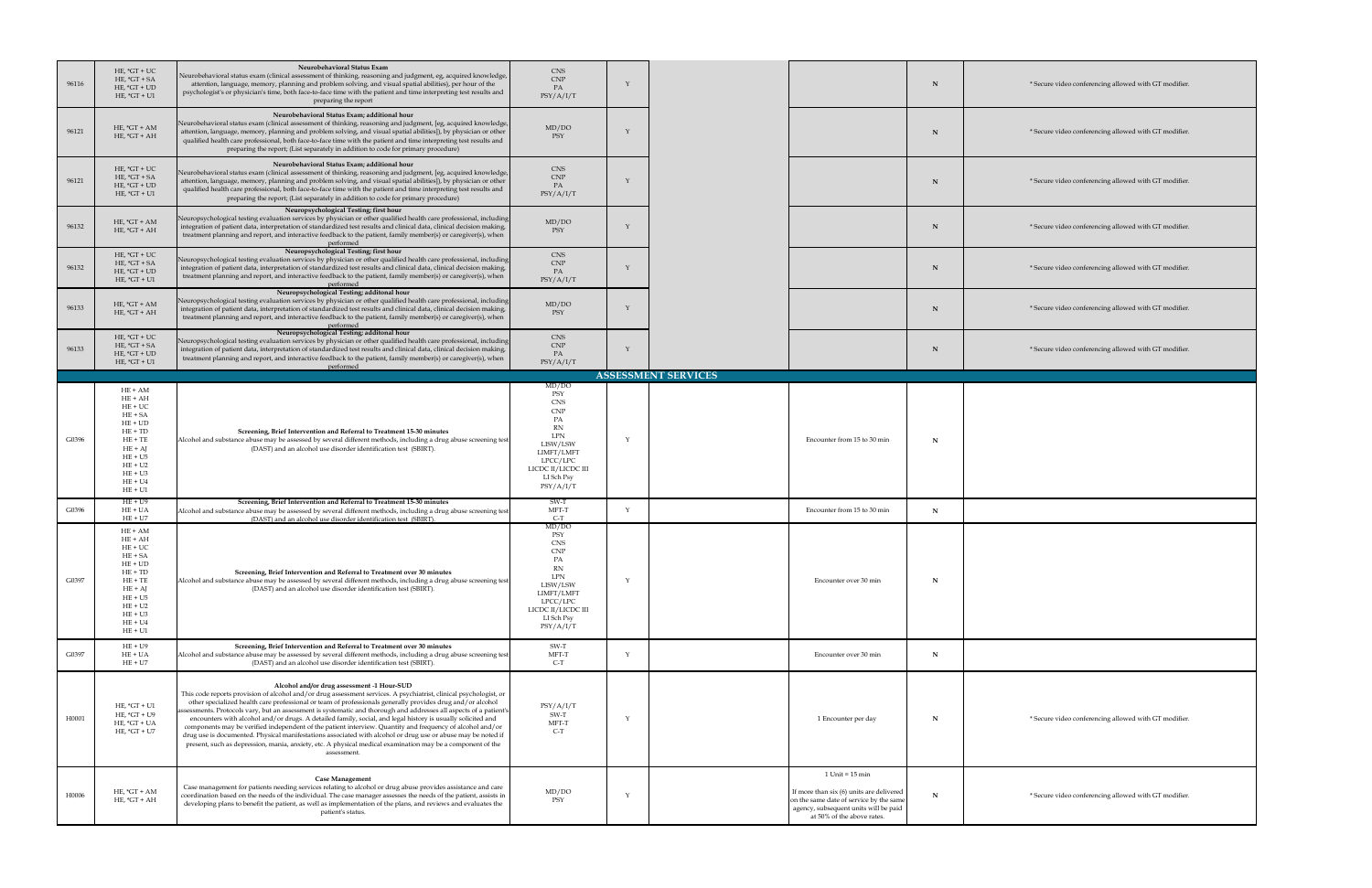| 96116 | HE, $*GT + UC$<br>$HE, *GT + SA$<br>HE, $*GT + UD$<br>$HE, *GT + U1$                                                                                                | <b>Neurobehavioral Status Exam</b><br>Neurobehavioral status exam (clinical assessment of thinking, reasoning and judgment, eg, acquired knowledge,  <br>attention, language, memory, planning and problem solving, and visual spatial abilities), per hour of the<br>psychologist's or physician's time, both face-to-face time with the patient and time interpreting test results and<br>preparing the report                                                                                                                                                                                                                                                                                                                                                                                                                                                             | CNS<br>CNP<br>PA<br>PSY/A/I/T                                                                                                                 |                            |                                                                                                                                                                                     |   | * Secure video conferencing allowed with GT modifier. |
|-------|---------------------------------------------------------------------------------------------------------------------------------------------------------------------|------------------------------------------------------------------------------------------------------------------------------------------------------------------------------------------------------------------------------------------------------------------------------------------------------------------------------------------------------------------------------------------------------------------------------------------------------------------------------------------------------------------------------------------------------------------------------------------------------------------------------------------------------------------------------------------------------------------------------------------------------------------------------------------------------------------------------------------------------------------------------|-----------------------------------------------------------------------------------------------------------------------------------------------|----------------------------|-------------------------------------------------------------------------------------------------------------------------------------------------------------------------------------|---|-------------------------------------------------------|
| 96121 | HE, $*GT + AM$<br>$HE, *GT + AH$                                                                                                                                    | Neurobehavioral Status Exam; additional hour<br>Neurobehavioral status exam (clinical assessment of thinking, reasoning and judgment, [eg, acquired knowledge,  <br>attention, language, memory, planning and problem solving, and visual spatial abilities]), by physician or other<br>qualified health care professional, both face-to-face time with the patient and time interpreting test results and<br>preparing the report; (List separately in addition to code for primary procedure)                                                                                                                                                                                                                                                                                                                                                                              | MD/DO<br>PSY                                                                                                                                  |                            |                                                                                                                                                                                     | N | * Secure video conferencing allowed with GT modifier. |
| 96121 | HE, $*GT + UC$<br>$HE, *GT + SA$<br>HE, $*GT + UD$<br>$HE, *GT + U1$                                                                                                | Neurobehavioral Status Exam; additional hour<br>Neurobehavioral status exam (clinical assessment of thinking, reasoning and judgment, [eg, acquired knowledge,  <br>attention, language, memory, planning and problem solving, and visual spatial abilities]), by physician or other<br>qualified health care professional, both face-to-face time with the patient and time interpreting test results and<br>preparing the report; (List separately in addition to code for primary procedure)                                                                                                                                                                                                                                                                                                                                                                              | <b>CNS</b><br>$\ensuremath{\mathrm{CNP}}$<br>PA<br>PSY/A/I/T                                                                                  |                            |                                                                                                                                                                                     | N | * Secure video conferencing allowed with GT modifier. |
| 96132 | HE, $*GT + AM$<br>$HE, *GT + AH$                                                                                                                                    | Neuropsychological Testing; first hour<br>Neuropsychological testing evaluation services by physician or other qualified health care professional, including<br>integration of patient data, interpretation of standardized test results and clinical data, clinical decision making,<br>treatment planning and report, and interactive feedback to the patient, family member(s) or caregiver(s), when<br>performed                                                                                                                                                                                                                                                                                                                                                                                                                                                         | MD/DO<br>PSY                                                                                                                                  |                            |                                                                                                                                                                                     | N | * Secure video conferencing allowed with GT modifier. |
| 96132 | $HE, *GT + UC$<br>$HE, *GT + SA$<br>$HE, *GT + UD$<br>$HE, *GT + U1$                                                                                                | Neuropsychological Testing; first hour<br>Neuropsychological testing evaluation services by physician or other qualified health care professional, including<br>integration of patient data, interpretation of standardized test results and clinical data, clinical decision making,<br>treatment planning and report, and interactive feedback to the patient, family member(s) or caregiver(s), when<br>performed                                                                                                                                                                                                                                                                                                                                                                                                                                                         | CNS<br>CNP<br>PA<br>PSY/A/I/T                                                                                                                 |                            |                                                                                                                                                                                     | N | * Secure video conferencing allowed with GT modifier. |
| 96133 | $HE, *GT + AM$<br>$HE, *GT + AH$                                                                                                                                    | Neuropsychological Testing; additonal hour<br>Neuropsychological testing evaluation services by physician or other qualified health care professional, including<br>integration of patient data, interpretation of standardized test results and clinical data, clinical decision making,<br>treatment planning and report, and interactive feedback to the patient, family member(s) or caregiver(s), when<br>performed                                                                                                                                                                                                                                                                                                                                                                                                                                                     | MD/DO<br>PSY                                                                                                                                  |                            |                                                                                                                                                                                     | N | * Secure video conferencing allowed with GT modifier. |
| 96133 | $HE, *GT + UC$<br>$HE, *GT + SA$<br>$HE, *GT + UD$<br>$HE, *GT + U1$                                                                                                | Neuropsychological Testing; additonal hour<br>Neuropsychological testing evaluation services by physician or other qualified health care professional, including<br>integration of patient data, interpretation of standardized test results and clinical data, clinical decision making,<br>treatment planning and report, and interactive feedback to the patient, family member(s) or caregiver(s), when<br>performed                                                                                                                                                                                                                                                                                                                                                                                                                                                     | CNS<br>CNP<br>PA<br>PSY/A/I/T                                                                                                                 |                            |                                                                                                                                                                                     | N | * Secure video conferencing allowed with GT modifier. |
|       |                                                                                                                                                                     |                                                                                                                                                                                                                                                                                                                                                                                                                                                                                                                                                                                                                                                                                                                                                                                                                                                                              | MD/DO                                                                                                                                         | <b>ASSESSMENT SERVICES</b> |                                                                                                                                                                                     |   |                                                       |
| G0396 | $HE + AM$<br>$HE + AH$<br>$HE+UC$<br>$HE + SA$<br>$HE + UD$<br>$HE + TD$<br>$HE + TE$<br>$HE + AJ$<br>$HE + U5$<br>$HE + U2$<br>$HE + U3$<br>$HE + U4$<br>$HE + U1$ | Screening, Brief Intervention and Referral to Treatment 15-30 minutes<br>Alcohol and substance abuse may be assessed by several different methods, including a drug abuse screening test<br>(DAST) and an alcohol use disorder identification test (SBIRT).                                                                                                                                                                                                                                                                                                                                                                                                                                                                                                                                                                                                                  | PSY<br><b>CNS</b><br><b>CNP</b><br>LPN<br>LISW/LSW<br>LIMFT/LMFT<br>LPCC/LPC<br>LICDC II/LICDC III<br>LI Sch Psy<br>PSY/A/I/T                 |                            | Encounter from 15 to 30 min                                                                                                                                                         | N |                                                       |
| G0396 | $HE + U9$<br>$HE + UA$<br>$HE + U7$                                                                                                                                 | Screening, Brief Intervention and Referral to Treatment 15-30 minutes<br>Alcohol and substance abuse may be assessed by several different methods, including a drug abuse screening test<br>(DAST) and an alcohol use disorder identification test (SBIRT).                                                                                                                                                                                                                                                                                                                                                                                                                                                                                                                                                                                                                  | SW-T<br>MFT-T<br>$C-T$                                                                                                                        |                            | Encounter from 15 to 30 min                                                                                                                                                         | N |                                                       |
| G0397 | $HE + AM$<br>$HE + AH$<br>$HE+UC$<br>$HE + SA$<br>$HE + UD$<br>$HE + TD$<br>$HE + TE$<br>$HE + AI$<br>$HE + U5$<br>$HE + U2$<br>$HE + U3$<br>$HE + U4$<br>$HE + U1$ | <b>Screening, Brief Intervention and Referral to Treatment over 30 minutes</b><br>Alcohol and substance abuse may be assessed by several different methods, including a drug abuse screening test<br>(DAST) and an alcohol use disorder identification test (SBIRT).                                                                                                                                                                                                                                                                                                                                                                                                                                                                                                                                                                                                         | MD/DO<br>PSY<br><b>CNS</b><br><b>CNP</b><br><b>LPN</b><br>LISW/LSW<br>LIMFT/LMFT<br>LPCC/LPC<br>LICDC II/LICDC III<br>LI Sch Psy<br>PSY/A/I/T |                            | Encounter over 30 min                                                                                                                                                               | N |                                                       |
| G0397 | $HE + U9$<br>$HE + UA$<br>$HE + U7$                                                                                                                                 | <b>Screening, Brief Intervention and Referral to Treatment over 30 minutes</b><br>Alcohol and substance abuse may be assessed by several different methods, including a drug abuse screening test<br>(DAST) and an alcohol use disorder identification test (SBIRT).                                                                                                                                                                                                                                                                                                                                                                                                                                                                                                                                                                                                         | SW-T<br>MFT-T<br>$C-T$                                                                                                                        |                            | Encounter over 30 min                                                                                                                                                               | N |                                                       |
| H0001 | HE, $*GT + U1$<br>$HE, *GT + U9$<br>$HE, *GT + UA$<br>$HE, *GT + U7$                                                                                                | Alcohol and/or drug assessment -1 Hour-SUD<br>This code reports provision of alcohol and/or drug assessment services. A psychiatrist, clinical psychologist, or<br>other specialized health care professional or team of professionals generally provides drug and/or alcohol<br>assessments. Protocols vary, but an assessment is systematic and thorough and addresses all aspects of a patient's<br>encounters with alcohol and/or drugs. A detailed family, social, and legal history is usually solicited and<br>components may be verified independent of the patient interview. Quantity and frequency of alcohol and/or<br>drug use is documented. Physical manifestations associated with alcohol or drug use or abuse may be noted if<br>present, such as depression, mania, anxiety, etc. A physical medical examination may be a component of the<br>assessment. | PSY/A/I/T<br>SW-T<br>MFT-T<br>$C-T$                                                                                                           |                            | 1 Encounter per day                                                                                                                                                                 | N | * Secure video conferencing allowed with GT modifier. |
| H0006 | HE, $*GT + AM$<br>$HE, *GT + AH$                                                                                                                                    | <b>Case Management</b><br>Case management for patients needing services relating to alcohol or drug abuse provides assistance and care<br>coordination based on the needs of the individual. The case manager assesses the needs of the patient, assists in<br>developing plans to benefit the patient, as well as implementation of the plans, and reviews and evaluates the<br>patient's status.                                                                                                                                                                                                                                                                                                                                                                                                                                                                           | MD/DO<br>PSY                                                                                                                                  |                            | $1$ Unit = $15$ min<br>If more than six $(6)$ units are delivered<br>on the same date of service by the same<br>agency, subsequent units will be paid<br>at 50% of the above rates. |   | * Secure video conferencing allowed with GT modifier. |

| ${\bf N}$   | * Secure video conferencing all |
|-------------|---------------------------------|
| ${\bf N}$   | * Secure video conferencing all |
| ${\bf N}$   | * Secure video conferencing all |
| ${\bf N}$   | * Secure video conferencing all |
| $\mathbf N$ | * Secure video conferencing all |
| ${\bf N}$   | * Secure video conferencing all |
| ${\bf N}$   | * Secure video conferencing all |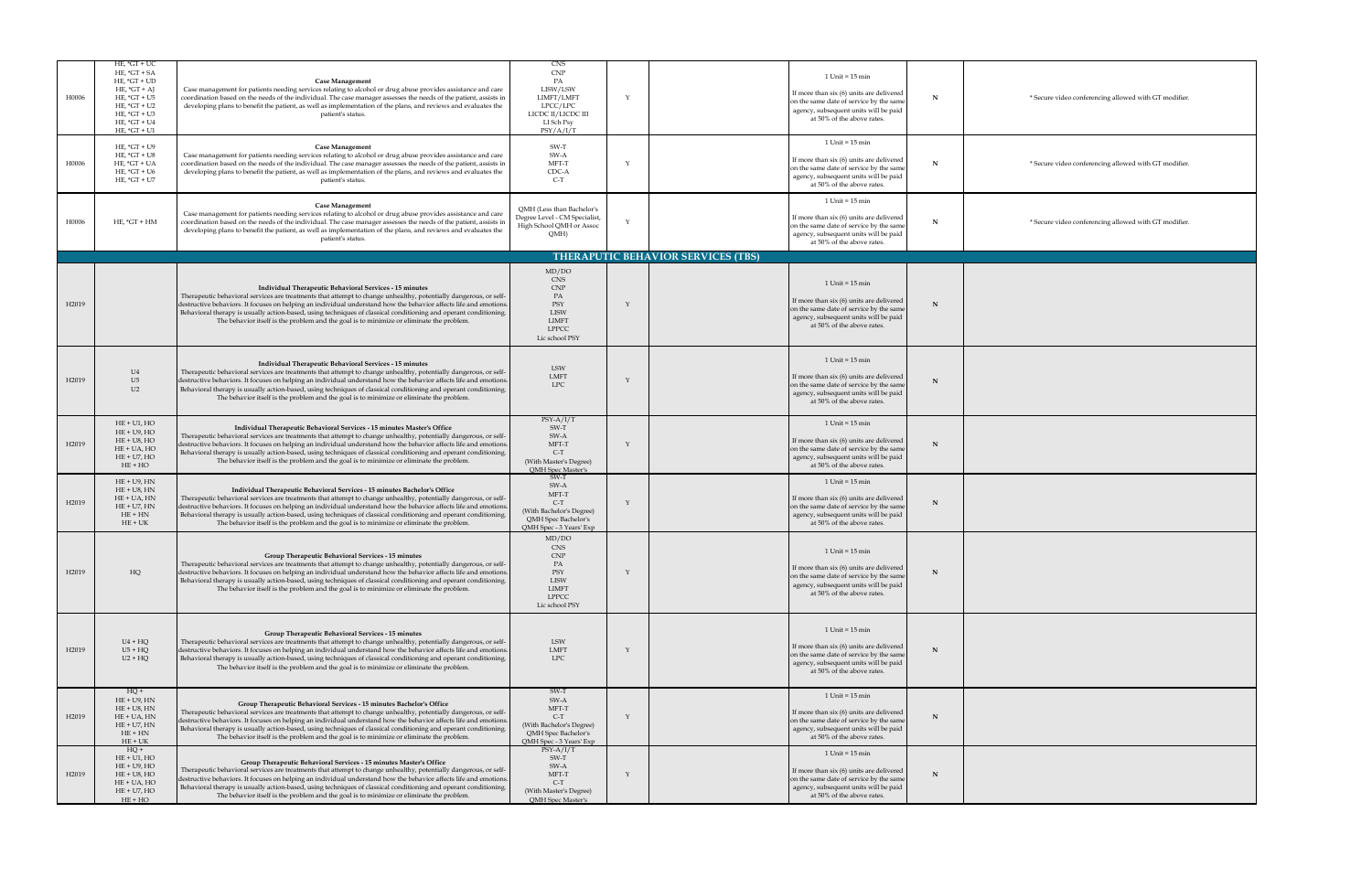| H0006             | $HE, *GT + UC$<br>$HE, *GT + SA$<br>HE, $*GT + UD$<br>HE, $*GT + AJ$<br>HE, $*GT + US$<br>$HE, *GT + U2$<br>HE, $*GT + U3$<br>HE, $*GT + U4$<br>HE, $*GT + U1$ | <b>Case Management</b><br>Case management for patients needing services relating to alcohol or drug abuse provides assistance and care<br>coordination based on the needs of the individual. The case manager assesses the needs of the patient, assists in<br>developing plans to benefit the patient, as well as implementation of the plans, and reviews and evaluates the<br>patient's status.                                                                                                                                   | CNS<br><b>CNP</b><br>PA<br>LISW/LSW<br>LIMFT/LMFT<br>LPCC/LPC<br>LICDC II/LICDC III<br>LI Sch Psy<br>PSY/A/I/T  |                                           | $1$ Unit = $15$ min<br>If more than six (6) units are delivered<br>on the same date of service by the same<br>agency, subsequent units will be paid<br>at 50% of the above rates.                         |    | * Secure video conferencing all |
|-------------------|----------------------------------------------------------------------------------------------------------------------------------------------------------------|--------------------------------------------------------------------------------------------------------------------------------------------------------------------------------------------------------------------------------------------------------------------------------------------------------------------------------------------------------------------------------------------------------------------------------------------------------------------------------------------------------------------------------------|-----------------------------------------------------------------------------------------------------------------|-------------------------------------------|-----------------------------------------------------------------------------------------------------------------------------------------------------------------------------------------------------------|----|---------------------------------|
| H0006             | HE, $*GT + U9$<br>HE, $*GT + US$<br>$HE, *GT + UA$<br>$HE, *GT + U6$<br>HE, $*GT + U7$                                                                         | <b>Case Management</b><br>Case management for patients needing services relating to alcohol or drug abuse provides assistance and care<br>coordination based on the needs of the individual. The case manager assesses the needs of the patient, assists in<br>developing plans to benefit the patient, as well as implementation of the plans, and reviews and evaluates the<br>patient's status.                                                                                                                                   | SW-T<br>SW-A<br>MFT-T<br>CDC-A<br>$C-T$                                                                         |                                           | $1$ Unit = $15$ min<br>If more than six (6) units are delivered<br>on the same date of service by the same<br>agency, subsequent units will be paid<br>at 50% of the above rates.                         |    | * Secure video conferencing all |
| H0006             | $HE, *GT + HM$                                                                                                                                                 | <b>Case Management</b><br>Case management for patients needing services relating to alcohol or drug abuse provides assistance and care<br>coordination based on the needs of the individual. The case manager assesses the needs of the patient, assists in<br>developing plans to benefit the patient, as well as implementation of the plans, and reviews and evaluates the<br>patient's status.                                                                                                                                   | QMH (Less than Bachelor's<br>Degree Level - CM Specialist,<br>High School QMH or Assoc<br>QMH)                  |                                           | $1$ Unit = $15$ min<br>If more than six (6) units are delivered<br>on the same date of service by the same<br>agency, subsequent units will be paid<br>at 50% of the above rates.                         | N. | * Secure video conferencing all |
|                   |                                                                                                                                                                |                                                                                                                                                                                                                                                                                                                                                                                                                                                                                                                                      |                                                                                                                 | <b>THERAPUTIC BEHAVIOR SERVICES (TBS)</b> |                                                                                                                                                                                                           |    |                                 |
| H <sub>2019</sub> |                                                                                                                                                                | Individual Therapeutic Behavioral Services - 15 minutes<br>Therapeutic behavioral services are treatments that attempt to change unhealthy, potentially dangerous, or self-<br>destructive behaviors. It focuses on helping an individual understand how the behavior affects life and emotions.<br>Behavioral therapy is usually action-based, using techniques of classical conditioning and operant conditioning.<br>The behavior itself is the problem and the goal is to minimize or eliminate the problem.                     | MD/DO<br><b>CNS</b><br><b>CNP</b><br>PA<br>PSY<br><b>LISW</b><br><b>LIMFT</b><br><b>LPPCC</b><br>Lic school PSY |                                           | $1$ Unit = $15$ min<br>If more than six (6) units are delivered $\vert$<br>on the same date of service by the same<br>$\vert$ agency, subsequent units will be paid $\vert$<br>at 50% of the above rates. |    |                                 |
| H2019             | U4<br>U5<br>U2                                                                                                                                                 | Individual Therapeutic Behavioral Services - 15 minutes<br>Therapeutic behavioral services are treatments that attempt to change unhealthy, potentially dangerous, or self-<br>destructive behaviors. It focuses on helping an individual understand how the behavior affects life and emotions.<br>Behavioral therapy is usually action-based, using techniques of classical conditioning and operant conditioning.<br>The behavior itself is the problem and the goal is to minimize or eliminate the problem.                     | LSW<br>LMFT<br><b>LPC</b>                                                                                       |                                           | $1$ Unit = $15$ min<br>If more than six $(6)$ units are delivered  <br>on the same date of service by the same<br>agency, subsequent units will be paid<br>at 50% of the above rates.                     | N  |                                 |
| H <sub>2019</sub> | $HE + U1$ , $HO$<br>$HE + U9$ , $HO$<br>$HE + US$ , $HO$<br>$HE + UA$ , $HO$<br>$HE + U7$ , $HO$<br>$HE + HO$                                                  | Individual Therapeutic Behavioral Services - 15 minutes Master's Office<br>Therapeutic behavioral services are treatments that attempt to change unhealthy, potentially dangerous, or self-<br>destructive behaviors. It focuses on helping an individual understand how the behavior affects life and emotions.<br>Behavioral therapy is usually action-based, using techniques of classical conditioning and operant conditioning.<br>The behavior itself is the problem and the goal is to minimize or eliminate the problem.     | $PSY-A/I/T$<br>SW-T<br>SW-A<br>MFT-T<br>$C-T$<br>(With Master's Degree)<br><b>QMH</b> Spec Master's             |                                           | $1$ Unit = $15$ min<br>If more than six (6) units are delivered<br>on the same date of service by the same<br>agency, subsequent units will be paid<br>at 50% of the above rates.                         | N  |                                 |
| H <sub>2019</sub> | $HE + U9$ , $HN$<br>$HE + US$ , $HN$<br>$HE + UA$ , $HN$<br>$HE + U7$ , $HN$<br>$HE + HN$<br>$HE + UK$                                                         | Individual Therapeutic Behavioral Services - 15 minutes Bachelor's Office<br>Therapeutic behavioral services are treatments that attempt to change unhealthy, potentially dangerous, or self-<br>destructive behaviors. It focuses on helping an individual understand how the behavior affects life and emotions.<br>Behavioral therapy is usually action-based, using techniques of classical conditioning and operant conditioning.<br>The behavior itself is the problem and the goal is to minimize or eliminate the problem.   | SW-T<br>SW-A<br>MFT-T<br>$C-T$<br>(With Bachelor's Degree)<br>QMH Spec Bachelor's<br>QMH Spec - 3 Years' Exp    |                                           | $1$ Unit = $15$ min<br>If more than six $(6)$ units are delivered  <br>on the same date of service by the same<br>agency, subsequent units will be paid<br>at 50% of the above rates.                     | N  |                                 |
| H <sub>2019</sub> | HQ                                                                                                                                                             | <b>Group Therapeutic Behavioral Services - 15 minutes</b><br>Therapeutic behavioral services are treatments that attempt to change unhealthy, potentially dangerous, or self-<br>destructive behaviors. It focuses on helping an individual understand how the behavior affects life and emotions.<br>Behavioral therapy is usually action-based, using techniques of classical conditioning and operant conditioning.<br>The behavior itself is the problem and the goal is to minimize or eliminate the problem.                   | MD/DO<br><b>CNS</b><br><b>CNP</b><br>PA<br>PSY<br><b>LISW</b><br><b>LIMFT</b><br><b>LPPCC</b><br>Lic school PSY |                                           | $1$ Unit = $15$ min<br>If more than six $(6)$ units are delivered  <br>on the same date of service by the same<br>agency, subsequent units will be paid<br>at 50% of the above rates.                     | N  |                                 |
| H <sub>2019</sub> | $U4 + HQ$<br>$U5 + HQ$<br>$U2 + HQ$                                                                                                                            | <b>Group Therapeutic Behavioral Services - 15 minutes</b><br>Therapeutic behavioral services are treatments that attempt to change unhealthy, potentially dangerous, or self-<br>destructive behaviors. It focuses on helping an individual understand how the behavior affects life and emotions.<br>Behavioral therapy is usually action-based, using techniques of classical conditioning and operant conditioning.<br>The behavior itself is the problem and the goal is to minimize or eliminate the problem.                   | <b>LSW</b><br>LMFT<br><b>LPC</b>                                                                                |                                           | $1$ Unit = $15$ min<br>If more than six (6) units are delivered<br>on the same date of service by the same<br>$\vert$ agency, subsequent units will be paid $\vert$<br>at 50% of the above rates.         | N  |                                 |
| H <sub>2019</sub> | $HQ +$<br>$HE + U9$ , $HN$<br>$HE + US$ , $HN$<br>$HE + UA$ , $HN$<br>$HE + U7$ , $HN$<br>$HE + HN$<br>$HE + UK$                                               | <b>Group Therapeutic Behavioral Services - 15 minutes Bachelor's Office</b><br>Therapeutic behavioral services are treatments that attempt to change unhealthy, potentially dangerous, or self-<br>destructive behaviors. It focuses on helping an individual understand how the behavior affects life and emotions.<br>Behavioral therapy is usually action-based, using techniques of classical conditioning and operant conditioning.<br>The behavior itself is the problem and the goal is to minimize or eliminate the problem. | SW-T<br>SW-A<br>MFT-T<br>$C-T$<br>(With Bachelor's Degree)<br>QMH Spec Bachelor's<br>QMH Spec - 3 Years' Exp    |                                           | $1$ Unit = $15$ min<br>If more than six (6) units are delivered<br>on the same date of service by the same<br>agency, subsequent units will be paid<br>at 50% of the above rates.                         | N  |                                 |
| H <sub>2019</sub> | $HQ +$<br>$HE + U1$ , $HO$<br>$HE + U9$ , $HO$<br>$HE + US$ , $HO$<br>$HE + UA$ , $HO$<br>$HE + U7$ , $HO$<br>$HE + HO$                                        | <b>Group Therapeutic Behavioral Services - 15 minutes Master's Office</b><br>Therapeutic behavioral services are treatments that attempt to change unhealthy, potentially dangerous, or self-<br>destructive behaviors. It focuses on helping an individual understand how the behavior affects life and emotions.<br>Behavioral therapy is usually action-based, using techniques of classical conditioning and operant conditioning.<br>The behavior itself is the problem and the goal is to minimize or eliminate the problem.   | $PSY-A/I/T$<br>SW-T<br>SW-A<br>MFT-T<br>$C-T$<br>(With Master's Degree)<br>QMH Spec Master's                    |                                           | $1$ Unit = $15$ min<br>If more than six (6) units are delivered<br>on the same date of service by the same<br>$\vert$ agency, subsequent units will be paid $\vert$<br>at 50% of the above rates.         |    |                                 |

<u> 1989 - Andrea Andrew Maria (h. 1989).</u><br>Demografia allowed with GT modifier. <u> 1989 - Jan James Alexander (f. 1989)</u> allowed with GT modifier. allowed with GT modifier.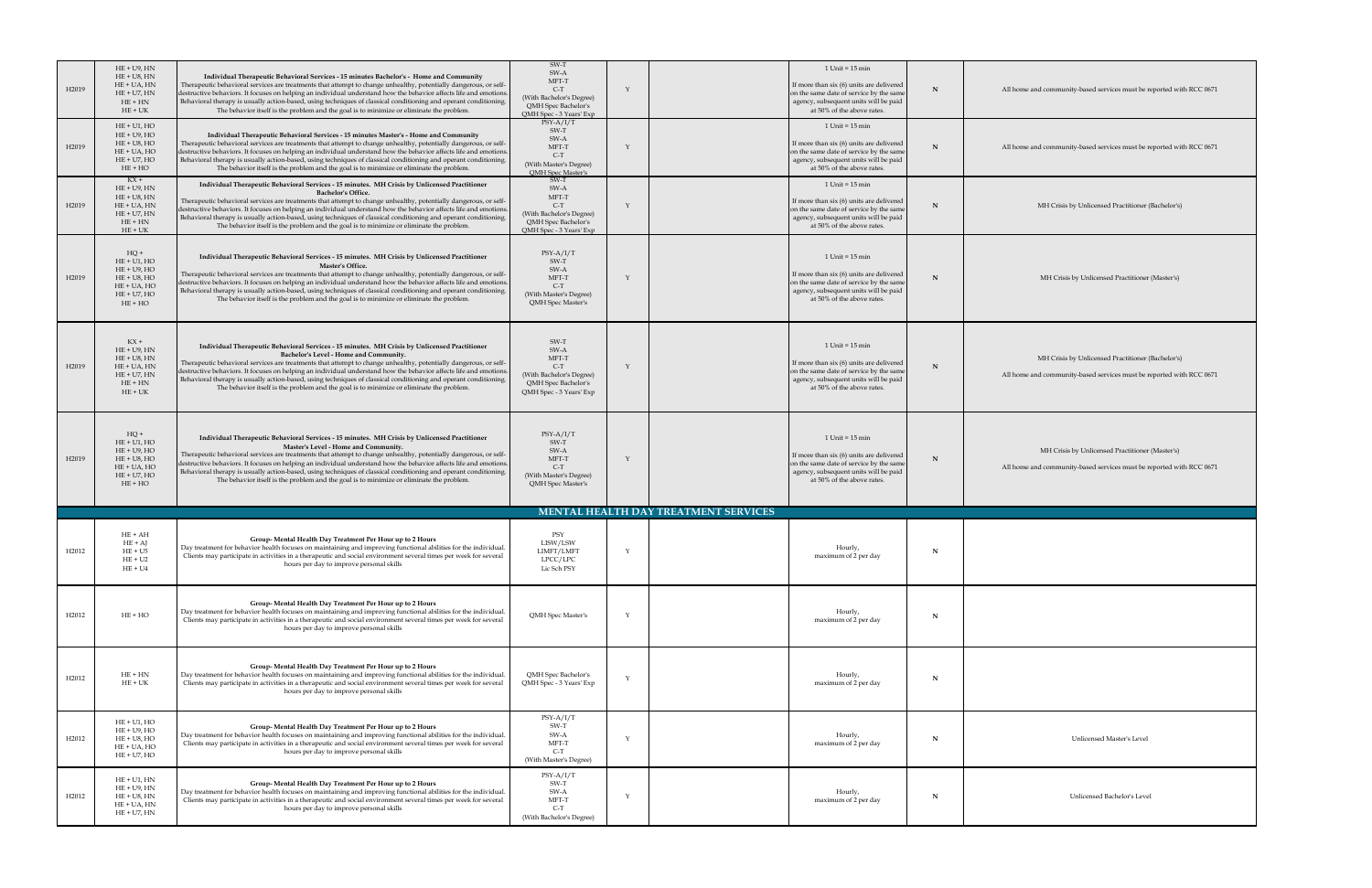| H2019             | $HE + U9$ , $HN$<br>$HE + US$ , $HN$<br>$HE + UA, HN$<br>$HE + U7$ , $HN$<br>$HE + HN$<br>$HE + UK$                                 | Individual Therapeutic Behavioral Services - 15 minutes Bachelor's - Home and Community<br>Therapeutic behavioral services are treatments that attempt to change unhealthy, potentially dangerous, or self-<br>destructive behaviors. It focuses on helping an individual understand how the behavior affects life and emotions.<br>Behavioral therapy is usually action-based, using techniques of classical conditioning and operant conditioning.<br>The behavior itself is the problem and the goal is to minimize or eliminate the problem.                                                 | SW-T<br>SW-A<br>MFT-T<br>$C-T$<br>(With Bachelor's Degree)<br>QMH Spec Bachelor's<br>QMH Spec - 3 Years' Exp | $1$ Unit = $15$ min<br>If more than six (6) units are delivered<br>on the same date of service by the same<br>agency, subsequent units will be paid<br>at 50% of the above rates. | N | All home and community-based services must be re-                                                |
|-------------------|-------------------------------------------------------------------------------------------------------------------------------------|--------------------------------------------------------------------------------------------------------------------------------------------------------------------------------------------------------------------------------------------------------------------------------------------------------------------------------------------------------------------------------------------------------------------------------------------------------------------------------------------------------------------------------------------------------------------------------------------------|--------------------------------------------------------------------------------------------------------------|-----------------------------------------------------------------------------------------------------------------------------------------------------------------------------------|---|--------------------------------------------------------------------------------------------------|
| H2019             | $HE + U1$ , $HO$<br>$HE + U9, HO$<br>$HE + US$ , $HO$<br>$HE + UA$ , $HO$<br>$HE + U7$ , $HO$<br>$HE + HO$                          | Individual Therapeutic Behavioral Services - 15 minutes Master's - Home and Community<br>Therapeutic behavioral services are treatments that attempt to change unhealthy, potentially dangerous, or self-<br>destructive behaviors. It focuses on helping an individual understand how the behavior affects life and emotions.<br>Behavioral therapy is usually action-based, using techniques of classical conditioning and operant conditioning.<br>The behavior itself is the problem and the goal is to minimize or eliminate the problem.                                                   | $PSY-A/I/T$<br>SW-T<br>SW-A<br>MFT-T<br>$C-T$<br>(With Master's Degree)<br><b>QMH</b> Spec Master's          | $1$ Unit = $15$ min<br>If more than six (6) units are delivered<br>on the same date of service by the same<br>agency, subsequent units will be paid<br>at 50% of the above rates. |   | All home and community-based services must be re-                                                |
| H2019             | $\text{KX} +$<br>$HE + U9$ , $HN$<br>$HE + US$ , $HN$<br>$HE + UA$ , $HN$<br>$HE + U7$ , $HN$<br>$HE + HN$<br>$HE + UK$             | Individual Therapeutic Behavioral Services - 15 minutes. MH Crisis by Unlicensed Practitioner<br><b>Bachelor's Office.</b><br>Therapeutic behavioral services are treatments that attempt to change unhealthy, potentially dangerous, or self-<br>destructive behaviors. It focuses on helping an individual understand how the behavior affects life and emotions.<br>Behavioral therapy is usually action-based, using techniques of classical conditioning and operant conditioning.<br>The behavior itself is the problem and the goal is to minimize or eliminate the problem.              | SW-T<br>SW-A<br>MFT-T<br>$C-T$<br>(With Bachelor's Degree)<br>QMH Spec Bachelor's<br>QMH Spec - 3 Years' Exp | $1$ Unit = $15$ min<br>If more than six (6) units are delivered<br>on the same date of service by the same<br>agency, subsequent units will be paid<br>at 50% of the above rates. |   | MH Crisis by Unlicensed Practitioner (                                                           |
| H2019             | $HQ +$<br>$HE + U1$ , $HO$<br>$HE + U9$ , $HO$<br>$HE + US$ , $HO$<br>$HE + UA, HO$<br>$HE + U7$ , $HO$<br>$HE + HO$                | Individual Therapeutic Behavioral Services - 15 minutes. MH Crisis by Unlicensed Practitioner<br><b>Master's Office.</b><br>Therapeutic behavioral services are treatments that attempt to change unhealthy, potentially dangerous, or self-<br>destructive behaviors. It focuses on helping an individual understand how the behavior affects life and emotions.<br>Behavioral therapy is usually action-based, using techniques of classical conditioning and operant conditioning.<br>The behavior itself is the problem and the goal is to minimize or eliminate the problem.                | $PSY-A/I/T$<br>SW-T<br>SW-A<br>MFT-T<br>$C-T$<br>(With Master's Degree)<br><b>QMH</b> Spec Master's          | $1$ Unit = $15$ min<br>If more than six (6) units are delivered<br>on the same date of service by the same<br>agency, subsequent units will be paid<br>at 50% of the above rates. |   | <b>MH Crisis by Unlicensed Practitioner</b>                                                      |
| H2019             | $\mathbf{K} \mathbf{X} +$<br>$HE + U9$ , $HN$<br>$HE + US$ , $HN$<br>$HE + UA$ , $HN$<br>$HE + U7$ , $HN$<br>$HE + HN$<br>$HE + UK$ | Individual Therapeutic Behavioral Services - 15 minutes. MH Crisis by Unlicensed Practitioner<br>Bachelor's Level - Home and Community.<br>Therapeutic behavioral services are treatments that attempt to change unhealthy, potentially dangerous, or self-<br>destructive behaviors. It focuses on helping an individual understand how the behavior affects life and emotions.<br>Behavioral therapy is usually action-based, using techniques of classical conditioning and operant conditioning.<br>The behavior itself is the problem and the goal is to minimize or eliminate the problem. | SW-T<br>SW-A<br>MFT-T<br>$C-T$<br>(With Bachelor's Degree)<br>QMH Spec Bachelor's<br>QMH Spec - 3 Years' Exp | $1$ Unit = $15$ min<br>If more than six (6) units are delivered<br>on the same date of service by the same<br>agency, subsequent units will be paid<br>at 50% of the above rates. |   | MH Crisis by Unlicensed Practitioner (<br>All home and community-based services must be re-      |
| H2019             | $HQ +$<br>$HE + U1$ , $HO$<br>$HE + U9$ , $HO$<br>$HE + US$ , $HO$<br>$HE + UA, HO$<br>$HE + U7$ , $HO$<br>$HE + HO$                | Individual Therapeutic Behavioral Services - 15 minutes. MH Crisis by Unlicensed Practitioner<br>Master's Level - Home and Community.<br>Therapeutic behavioral services are treatments that attempt to change unhealthy, potentially dangerous, or self-<br>destructive behaviors. It focuses on helping an individual understand how the behavior affects life and emotions.<br>Behavioral therapy is usually action-based, using techniques of classical conditioning and operant conditioning.<br>The behavior itself is the problem and the goal is to minimize or eliminate the problem.   | $PSY-A/I/T$<br>SW-T<br>SW-A<br>MFT-T<br>$C-T$<br>(With Master's Degree)<br><b>QMH</b> Spec Master's          | $1$ Unit = $15$ min<br>If more than six (6) units are delivered<br>on the same date of service by the same<br>agency, subsequent units will be paid<br>at 50% of the above rates. |   | <b>MH Crisis by Unlicensed Practitioner</b><br>All home and community-based services must be re- |
|                   |                                                                                                                                     |                                                                                                                                                                                                                                                                                                                                                                                                                                                                                                                                                                                                  |                                                                                                              | MENTAL HEALTH DAY TREATMENT SERVICES                                                                                                                                              |   |                                                                                                  |
| H2012             | $HE + AH$<br>$HE + AJ$<br>$HE + U5$<br>$HE + U2$<br>$HE + U4$                                                                       | <b>Group- Mental Health Day Treatment Per Hour up to 2 Hours</b><br>Day treatment for behavior health focuses on maintaining and improving functional abilities for the individual.<br>Clients may participate in activities in a therapeutic and social environment several times per week for several<br>hours per day to improve personal skills                                                                                                                                                                                                                                              | PSY<br>LISW/LSW<br>LIMFT/LMFT<br>LPCC/LPC<br>Lic Sch PSY                                                     | Hourly,<br>maximum of 2 per day                                                                                                                                                   |   |                                                                                                  |
| H2012             | $HE + HO$                                                                                                                           | Group- Mental Health Day Treatment Per Hour up to 2 Hours<br>Day treatment for behavior health focuses on maintaining and improving functional abilities for the individual.<br>Clients may participate in activities in a therapeutic and social environment several times per week for several<br>hours per day to improve personal skills                                                                                                                                                                                                                                                     | QMH Spec Master's                                                                                            | Hourly,<br>maximum of 2 per day                                                                                                                                                   |   |                                                                                                  |
| H2012             | $HE+HN$<br>$HE + UK$                                                                                                                | <b>Group- Mental Health Day Treatment Per Hour up to 2 Hours</b><br>Day treatment for behavior health focuses on maintaining and improving functional abilities for the individual.<br>Clients may participate in activities in a therapeutic and social environment several times per week for several<br>hours per day to improve personal skills                                                                                                                                                                                                                                              | QMH Spec Bachelor's<br>QMH Spec - 3 Years' Exp                                                               | Hourly,<br>maximum of 2 per day                                                                                                                                                   |   |                                                                                                  |
| H <sub>2012</sub> | $HE + U1$ , $HO$<br>$HE + U9$ , $HO$<br>$HE + US$ , $HO$<br>$HE + UA, HO$<br>$HE + U7$ , $HO$                                       | <b>Group- Mental Health Day Treatment Per Hour up to 2 Hours</b><br>Day treatment for behavior health focuses on maintaining and improving functional abilities for the individual.<br>Clients may participate in activities in a therapeutic and social environment several times per week for several<br>hours per day to improve personal skills                                                                                                                                                                                                                                              | $PSY-A/I/T$<br>SW-T<br>SW-A<br>MFT-T<br>$C-T$<br>(With Master's Degree)                                      | Hourly,<br>maximum of 2 per day                                                                                                                                                   |   | <b>Unlicensed Master's Level</b>                                                                 |
| H2012             | $HE + U1$ , $HN$<br>$HE + U9$ , $HN$<br>$HE + US$ , $HN$<br>$HE + UA$ , $HN$<br>$HE + U7$ , $HN$                                    | Group- Mental Health Day Treatment Per Hour up to 2 Hours<br>Day treatment for behavior health focuses on maintaining and improving functional abilities for the individual.<br>Clients may participate in activities in a therapeutic and social environment several times per week for several<br>hours per day to improve personal skills                                                                                                                                                                                                                                                     | $PSY-A/I/T$<br>SW-T<br>SW-A<br>MFT-T<br>$C-T$<br>(With Bachelor's Degree)                                    | Hourly,<br>maximum of 2 per day                                                                                                                                                   |   | <b>Unlicensed Bachelor's Level</b>                                                               |
|                   |                                                                                                                                     |                                                                                                                                                                                                                                                                                                                                                                                                                                                                                                                                                                                                  |                                                                                                              |                                                                                                                                                                                   |   |                                                                                                  |

**Now and set of the reported with RCC 0671 Now and set of the reported with RCC 0671 Mand Crisis by Crisis by Angle Practitioner (Bachelor's)** Practitioner (Master's) *Practitioner (Bachelor's)* es must be reported with RCC 0671 Practitioner (Master's) es must be reported with RCC 0671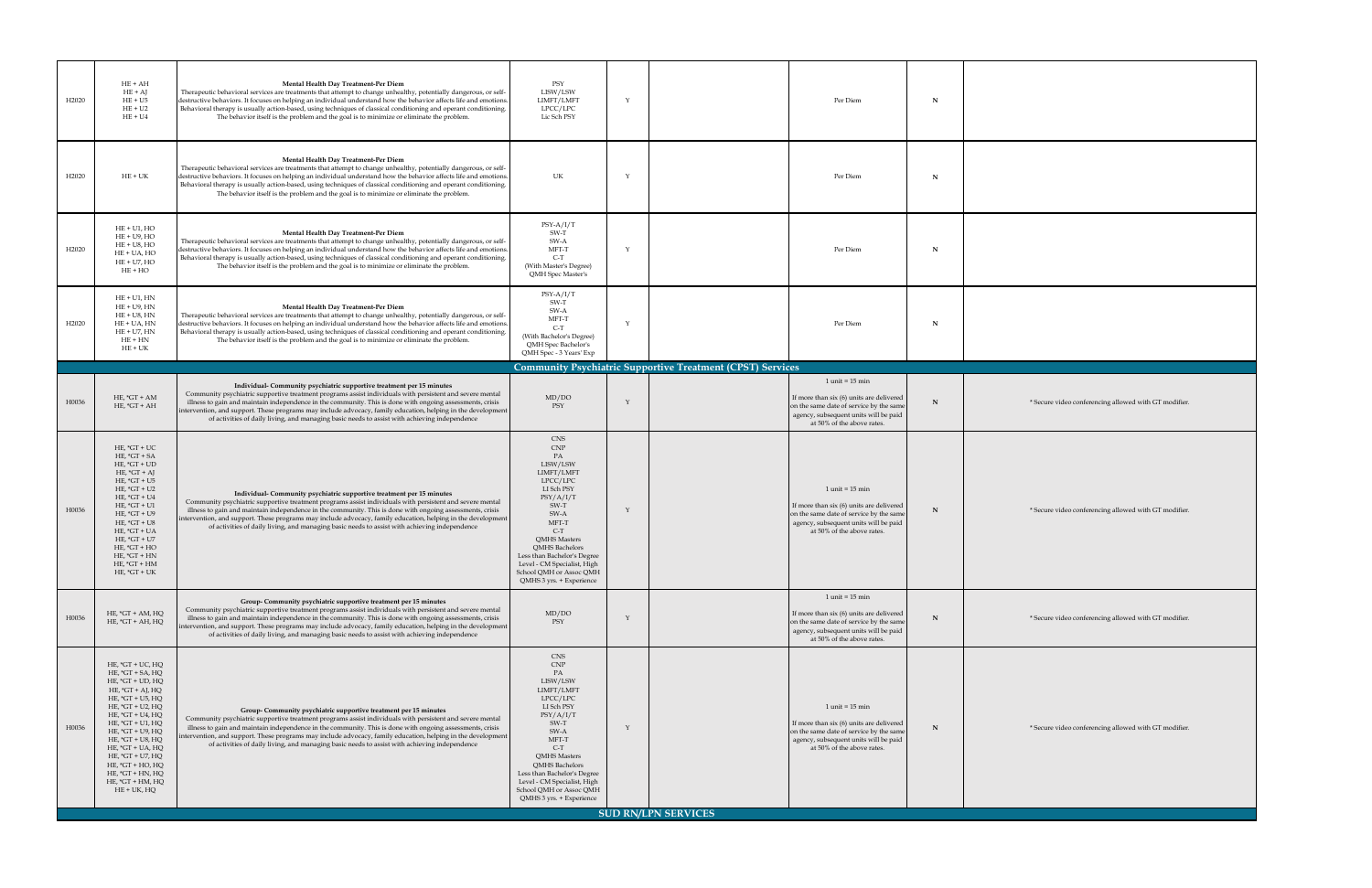| H <sub>2020</sub> | $HE + AH$<br>$HE + AJ$<br>$HE + U5$<br>$HE + U2$<br>$HE + U4$                                                                                                                                                                                                                                                                                                                | <b>Mental Health Day Treatment-Per Diem</b><br>Therapeutic behavioral services are treatments that attempt to change unhealthy, potentially dangerous, or self-<br>destructive behaviors. It focuses on helping an individual understand how the behavior affects life and emotions.<br>Behavioral therapy is usually action-based, using techniques of classical conditioning and operant conditioning.<br>The behavior itself is the problem and the goal is to minimize or eliminate the problem.                | PSY<br>LISW/LSW<br>LIMFT/LMFT<br>LPCC/LPC<br>Lic Sch PSY                                                                                                                                                                                                                                               | N<br>Per Diem                                                                                                                                                                                      |                                 |
|-------------------|------------------------------------------------------------------------------------------------------------------------------------------------------------------------------------------------------------------------------------------------------------------------------------------------------------------------------------------------------------------------------|---------------------------------------------------------------------------------------------------------------------------------------------------------------------------------------------------------------------------------------------------------------------------------------------------------------------------------------------------------------------------------------------------------------------------------------------------------------------------------------------------------------------|--------------------------------------------------------------------------------------------------------------------------------------------------------------------------------------------------------------------------------------------------------------------------------------------------------|----------------------------------------------------------------------------------------------------------------------------------------------------------------------------------------------------|---------------------------------|
| H <sub>2020</sub> | $HE + UK$                                                                                                                                                                                                                                                                                                                                                                    | <b>Mental Health Day Treatment-Per Diem</b><br>Therapeutic behavioral services are treatments that attempt to change unhealthy, potentially dangerous, or self-<br>destructive behaviors. It focuses on helping an individual understand how the behavior affects life and emotions.<br>Behavioral therapy is usually action-based, using techniques of classical conditioning and operant conditioning.<br>The behavior itself is the problem and the goal is to minimize or eliminate the problem.                | <b>UK</b>                                                                                                                                                                                                                                                                                              | Per Diem<br>N                                                                                                                                                                                      |                                 |
| H <sub>2020</sub> | $HE + U1$ , $HO$<br>$HE + U9$ , $HO$<br>$HE + US$ , $HO$<br>$HE + UA$ , $HO$<br>$HE + U7$ , $HO$<br>$HE + HO$                                                                                                                                                                                                                                                                | <b>Mental Health Day Treatment-Per Diem</b><br>Therapeutic behavioral services are treatments that attempt to change unhealthy, potentially dangerous, or self-<br>destructive behaviors. It focuses on helping an individual understand how the behavior affects life and emotions.<br>Behavioral therapy is usually action-based, using techniques of classical conditioning and operant conditioning.<br>The behavior itself is the problem and the goal is to minimize or eliminate the problem.                | $PSY-A/I/T$<br>SW-T<br>SW-A<br>MFT-T<br>$C-T$<br>(With Master's Degree)<br><b>QMH</b> Spec Master's                                                                                                                                                                                                    | Per Diem<br>N                                                                                                                                                                                      |                                 |
| H <sub>2020</sub> | $HE + U1$ , $HN$<br>$HE + U9$ , $HN$<br>$HE + US$ , $HN$<br>$HE + UA$ , $HN$<br>$HE + U7$ , $HN$<br>$HE+HN$<br>$HE + UK$                                                                                                                                                                                                                                                     | <b>Mental Health Day Treatment-Per Diem</b><br>Therapeutic behavioral services are treatments that attempt to change unhealthy, potentially dangerous, or self-<br>destructive behaviors. It focuses on helping an individual understand how the behavior affects life and emotions.<br>Behavioral therapy is usually action-based, using techniques of classical conditioning and operant conditioning.<br>The behavior itself is the problem and the goal is to minimize or eliminate the problem.                | $PSY-A/I/T$<br>SW-T<br>SW-A<br>MFT-T<br>$C-T$<br>(With Bachelor's Degree)<br>QMH Spec Bachelor's<br>QMH Spec - 3 Years' Exp                                                                                                                                                                            | Per Diem<br>N                                                                                                                                                                                      |                                 |
|                   |                                                                                                                                                                                                                                                                                                                                                                              |                                                                                                                                                                                                                                                                                                                                                                                                                                                                                                                     |                                                                                                                                                                                                                                                                                                        | <b>Community Psychiatric Supportive Treatment (CPST) Services</b>                                                                                                                                  |                                 |
|                   |                                                                                                                                                                                                                                                                                                                                                                              | Individual- Community psychiatric supportive treatment per 15 minutes                                                                                                                                                                                                                                                                                                                                                                                                                                               |                                                                                                                                                                                                                                                                                                        | $1$ unit = $15$ min                                                                                                                                                                                |                                 |
| H0036             | $HE, *GT + AM$<br>$HE, *GT + AH$                                                                                                                                                                                                                                                                                                                                             | Community psychiatric supportive treatment programs assist individuals with persistent and severe mental<br>illness to gain and maintain independence in the community. This is done with ongoing assessments, crisis<br>$\vert$ intervention, and support. These programs may include advocacy, family education, helping in the development $\vert$<br>of activities of daily living, and managing basic needs to assist with achieving independence                                                              | MD/DO<br>PSY                                                                                                                                                                                                                                                                                           | If more than six (6) units are delivered<br>N<br>on the same date of service by the same<br>agency, subsequent units will be paid<br>at 50% of the above rates.                                    | * Secure video conferencing all |
| H0036             | HE, $*GT + UC$<br>$HE, *GT + SA$<br>HE, $*GT + UD$<br>HE, $*GT + AJ$<br>HE, $*GT + US$<br>$HE, *GT + U2$<br>HE, $*GT + U4$<br>$HE, *GT + U1$<br>HE, $*GT + U9$<br>HE, $*GT + US$<br>HE, $*GT + UA$<br>HE, $*GT + U7$<br>$HE, *GT + HO$<br>HE, $*GT + HN$<br>HE, $*GT + HM$<br>HE, $*GT + UK$                                                                                 | Individual- Community psychiatric supportive treatment per 15 minutes<br>Community psychiatric supportive treatment programs assist individuals with persistent and severe mental<br>illness to gain and maintain independence in the community. This is done with ongoing assessments, crisis<br>  intervention, and support. These programs may include advocacy, family education, helping in the development  <br>of activities of daily living, and managing basic needs to assist with achieving independence | <b>CNS</b><br><b>CNP</b><br>PA<br>LISW/LSW<br>LIMFT/LMFT<br>LPCC/LPC<br>LI Sch PSY<br>PSY/A/I/T<br>SW-T<br>SW-A<br>MFT-T<br>$C-T$<br><b>QMHS Masters</b><br>QMHS Bachelors<br>Less than Bachelor's Degree<br>Level - CM Specialist, High<br>School QMH or Assoc QMH<br>QMHS 3 yrs. + Experience        | $1$ unit = $15$ min<br>If more than six (6) units are delivered  <br>N<br>on the same date of service by the same<br>agency, subsequent units will be paid<br>at 50% of the above rates.           | * Secure video conferencing all |
| H0036             | $HE, *GT + AM, HQ$<br>$HE, *GT + AH, HQ$                                                                                                                                                                                                                                                                                                                                     | <b>Group- Community psychiatric supportive treatment per 15 minutes</b><br>Community psychiatric supportive treatment programs assist individuals with persistent and severe mental<br>illness to gain and maintain independence in the community. This is done with ongoing assessments, crisis<br>intervention, and support. These programs may include advocacy, family education, helping in the development<br>of activities of daily living, and managing basic needs to assist with achieving independence   | MD/DO<br>PSY                                                                                                                                                                                                                                                                                           | $1$ unit = $15$ min<br>If more than six (6) units are delivered<br>on the same date of service by the same<br>agency, subsequent units will be paid  <br>at 50% of the above rates.                | * Secure video conferencing all |
| H0036             | $HE$ , $*GT + UC$ , $HQ$<br>$HE, *GT + SA, HQ$<br>$HE, *GT + UD, HQ$<br>$HE, *GT + AJ, HQ$<br>$HE$ , * $GT + U5$ , $HQ$<br>$HE, *GT + U2, HQ$<br>$HE$ , $*GT + U4$ , $HQ$<br>$HE, *GT + U1, HQ$<br>HE, $*GT + U9$ , HQ<br>$HE, *GT + US, HQ$<br>HE, *GT + UA, HQ<br>$HE, *GT + U7, HQ$<br>$HE, *GT + HO, HQ$<br>$HE, *GT + HN, HQ$<br>$HE, *GT + HM, HQ$<br>$HE + UK$ , $HQ$ | <b>Group- Community psychiatric supportive treatment per 15 minutes</b><br>Community psychiatric supportive treatment programs assist individuals with persistent and severe mental<br>illness to gain and maintain independence in the community. This is done with ongoing assessments, crisis<br>intervention, and support. These programs may include advocacy, family education, helping in the development<br>of activities of daily living, and managing basic needs to assist with achieving independence   | <b>CNS</b><br><b>CNP</b><br>PA<br>LISW/LSW<br>LIMFT/LMFT<br>LPCC/LPC<br>LI Sch PSY<br>PSY/A/I/T<br>SW-T<br>SW-A<br>MFT-T<br>$C-T$<br><b>QMHS Masters</b><br><b>QMHS Bachelors</b><br>Less than Bachelor's Degree<br>Level - CM Specialist, High<br>School QMH or Assoc QMH<br>QMHS 3 yrs. + Experience | $1$ unit = $15$ min<br>If more than six (6) units are delivered<br>$\mathbf N$<br>on the same date of service by the same<br>agency, subsequent units will be paid  <br>at 50% of the above rates. | * Secure video conferencing all |
|                   |                                                                                                                                                                                                                                                                                                                                                                              |                                                                                                                                                                                                                                                                                                                                                                                                                                                                                                                     |                                                                                                                                                                                                                                                                                                        | <b>SUD RN/LPN SERVICES</b>                                                                                                                                                                         |                                 |

**N** allowed with GT modifier. **N** allowed with GT modifier. **Nowed with GT modifier. Nowed with GT modifier.**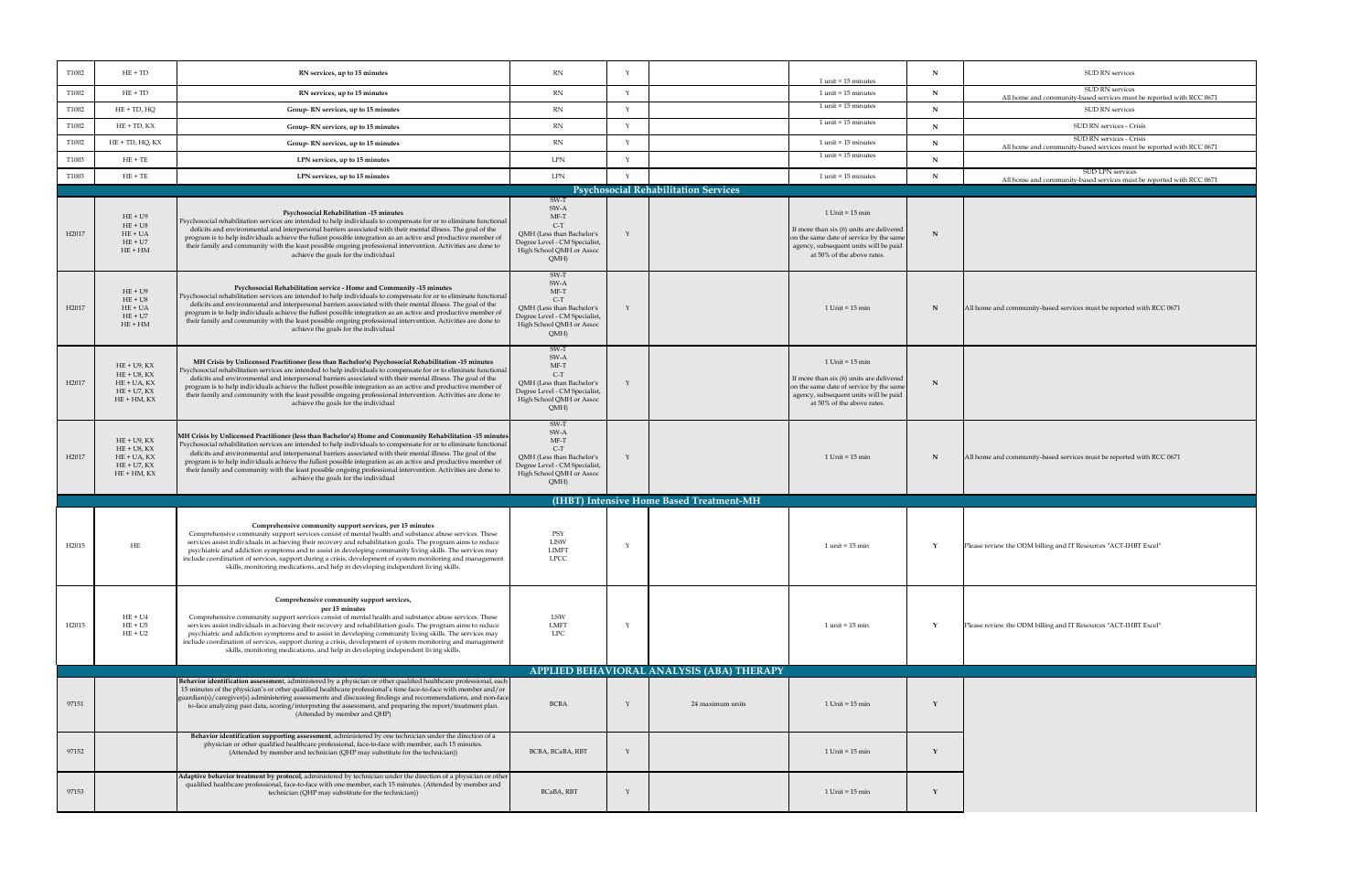| T1002             | $HE + TD$                                                                          | RN services, up to 15 minutes                                                                                                                                                                                                                                                                                                                                                                                                                                                                                                                                                                                             | <b>RN</b>                                                                                                                       |                                             | $1$ unit = 15 minutes                                                                                                                                                                 |           | <b>SUD RN services</b>                                                                       |
|-------------------|------------------------------------------------------------------------------------|---------------------------------------------------------------------------------------------------------------------------------------------------------------------------------------------------------------------------------------------------------------------------------------------------------------------------------------------------------------------------------------------------------------------------------------------------------------------------------------------------------------------------------------------------------------------------------------------------------------------------|---------------------------------------------------------------------------------------------------------------------------------|---------------------------------------------|---------------------------------------------------------------------------------------------------------------------------------------------------------------------------------------|-----------|----------------------------------------------------------------------------------------------|
| T1002             | $HE + TD$                                                                          | RN services, up to 15 minutes                                                                                                                                                                                                                                                                                                                                                                                                                                                                                                                                                                                             | RN                                                                                                                              |                                             | $1$ unit = 15 minutes                                                                                                                                                                 |           | <b>SUD RN services</b><br>All home and community-based services must be reported with RCC 06 |
| T1002             | $HE + TD$ , $HQ$                                                                   | Group-RN services, up to 15 minutes                                                                                                                                                                                                                                                                                                                                                                                                                                                                                                                                                                                       | <b>RN</b>                                                                                                                       |                                             | $1$ unit = 15 minutes                                                                                                                                                                 |           | <b>SUD RN services</b>                                                                       |
| T1002             | $HE + TD, KX$                                                                      | Group-RN services, up to 15 minutes                                                                                                                                                                                                                                                                                                                                                                                                                                                                                                                                                                                       | <b>RN</b>                                                                                                                       |                                             | $1$ unit = 15 minutes                                                                                                                                                                 |           | <b>SUD RN services - Crisis</b>                                                              |
| T1002             | $HE + TD$ , $HQ$ , $KX$                                                            | Group-RN services, up to 15 minutes                                                                                                                                                                                                                                                                                                                                                                                                                                                                                                                                                                                       | <b>RN</b>                                                                                                                       |                                             | $1$ unit = 15 minutes                                                                                                                                                                 |           | <b>SUD RN services - Crisis</b>                                                              |
| T1003             | $HE + TE$                                                                          | LPN services, up to 15 minutes                                                                                                                                                                                                                                                                                                                                                                                                                                                                                                                                                                                            | <b>LPN</b>                                                                                                                      |                                             | $1$ unit = 15 minutes                                                                                                                                                                 | <b>TT</b> | All home and community-based services must be reported with RCC 06                           |
|                   |                                                                                    |                                                                                                                                                                                                                                                                                                                                                                                                                                                                                                                                                                                                                           |                                                                                                                                 |                                             |                                                                                                                                                                                       |           | <b>SUD LPN services</b>                                                                      |
| T1003             | $HE + TE$                                                                          | LPN services, up to 15 minutes                                                                                                                                                                                                                                                                                                                                                                                                                                                                                                                                                                                            | <b>LPN</b>                                                                                                                      | <b>Psychosocial Rehabilitation Services</b> | $1$ unit = 15 minutes                                                                                                                                                                 |           | All home and community-based services must be reported with RCC 06                           |
|                   |                                                                                    |                                                                                                                                                                                                                                                                                                                                                                                                                                                                                                                                                                                                                           | SW-T                                                                                                                            |                                             |                                                                                                                                                                                       |           |                                                                                              |
| H2017             | $HE + U9$<br>$HE + U8$<br>$HE + UA$<br>$HE + U7$<br>$HE+HM$                        | <b>Psychosocial Rehabilitation -15 minutes</b><br>  Psychosocial rehabilitation services are intended to help individuals to compensate for or to eliminate functional<br>deficits and environmental and interpersonal barriers associated with their mental illness. The goal of the<br>program is to help individuals achieve the fullest possible integration as an active and productive member of<br>their family and community with the least possible ongoing professional intervention. Activities are done to<br>achieve the goals for the individual                                                            | SW-A<br>MF-T<br>$C-T$<br>QMH (Less than Bachelor's<br>Degree Level - CM Specialist,<br>High School QMH or Assoc<br>QMH          |                                             | $1$ Unit = $15$ min<br>If more than six $(6)$ units are delivered<br>on the same date of service by the same<br>agency, subsequent units will be paid<br>at 50% of the above rates.   |           |                                                                                              |
| H2017             | $HE + U9$<br>$HE + US$<br>$HE + UA$<br>$HE + U7$<br>$HE+HM$                        | <b>Psychosocial Rehabilitation service - Home and Community -15 minutes</b><br>  Psychosocial rehabilitation services are intended to help individuals to compensate for or to eliminate functional  <br>deficits and environmental and interpersonal barriers associated with their mental illness. The goal of the<br>program is to help individuals achieve the fullest possible integration as an active and productive member of<br>their family and community with the least possible ongoing professional intervention. Activities are done to<br>achieve the goals for the individual                             | SW-T<br>SW-A<br>MF-T<br>$C-T$<br>QMH (Less than Bachelor's<br>Degree Level - CM Specialist,<br>High School QMH or Assoc<br>QMH  |                                             | $1$ Unit = $15$ min                                                                                                                                                                   |           | All home and community-based services must be reported with RCC 0671                         |
| H2017             | $HE + U9, KX$<br>$HE + US$ , KX<br>$HE + UA, KX$<br>$HE + U7, KX$<br>$HE + HM, KX$ | MH Crisis by Unlicensed Practitioner (less than Bachelor's) Psychosocial Rehabilitation -15 minutes<br>Psychosocial rehabilitation services are intended to help individuals to compensate for or to eliminate functional<br>deficits and environmental and interpersonal barriers associated with their mental illness. The goal of the<br>program is to help individuals achieve the fullest possible integration as an active and productive member of<br>their family and community with the least possible ongoing professional intervention. Activities are done to<br>achieve the goals for the individual         | SW-T<br>SW-A<br>MF-T<br>QMH (Less than Bachelor's<br>Degree Level - CM Specialist,<br>High School QMH or Assoc<br>QMH)          |                                             | $1$ Unit = $15$ min<br>If more than six $(6)$ units are delivered  <br>on the same date of service by the same<br>agency, subsequent units will be paid<br>at 50% of the above rates. |           |                                                                                              |
| H2017             | $HE + U9, KX$<br>$HE + US$ , KX<br>$HE + UA, KX$<br>$HE + U7, KX$<br>$HE + HM, KX$ | MH Crisis by Unlicensed Practitioner (less than Bachelor's) Home and Community Rehabilitation -15 minutes<br>  Psychosocial rehabilitation services are intended to help individuals to compensate for or to eliminate functional<br>deficits and environmental and interpersonal barriers associated with their mental illness. The goal of the<br>program is to help individuals achieve the fullest possible integration as an active and productive member of<br>their family and community with the least possible ongoing professional intervention. Activities are done to<br>achieve the goals for the individual | SW-T<br>SW-A<br>MF-T<br>$C-T$<br>QMH (Less than Bachelor's<br>Degree Level - CM Specialist,<br>High School QMH or Assoc<br>QMH) |                                             | $1$ Unit = $15$ min                                                                                                                                                                   |           | All home and community-based services must be reported with RCC 0671                         |
|                   |                                                                                    |                                                                                                                                                                                                                                                                                                                                                                                                                                                                                                                                                                                                                           |                                                                                                                                 | (IHBT) Intensive Home Based Treatment-MH    |                                                                                                                                                                                       |           |                                                                                              |
| H <sub>2015</sub> | HE                                                                                 | Comprehensive community support services, per 15 minutes<br>Comprehensive community support services consist of mental health and substance abuse services. These<br>services assist individuals in achieving their recovery and rehabilitation goals. The program aims to reduce<br>psychiatric and addiction symptoms and to assist in developing community living skills. The services may<br>include coordination of services, support during a crisis, development of system monitoring and management<br>skills, monitoring medications, and help in developing independent living skills.                          | PSY<br><b>LISW</b><br><b>LIMFT</b><br><b>LPCC</b>                                                                               |                                             | $1$ unit = $15$ min                                                                                                                                                                   |           | Please review the ODM billing and IT Resources "ACT-IHBT Excel"                              |
| H <sub>2015</sub> | $HE + U4$<br>$HE + U5$<br>$HE + U2$                                                | Comprehensive community support services,<br>per 15 minutes<br>Comprehensive community support services consist of mental health and substance abuse services. These<br>services assist individuals in achieving their recovery and rehabilitation goals. The program aims to reduce<br>psychiatric and addiction symptoms and to assist in developing community living skills. The services may<br>include coordination of services, support during a crisis, development of system monitoring and management<br>skills, monitoring medications, and help in developing independent living skills.                       | LSW<br>LMFT<br><b>LPC</b>                                                                                                       |                                             | $1$ unit = $15$ min                                                                                                                                                                   |           | Please review the ODM billing and IT Resources "ACT-IHBT Excel"                              |
|                   |                                                                                    | <b>Behavior identification assessmen</b> t, administered by a physician or other qualified healthcare professional, each                                                                                                                                                                                                                                                                                                                                                                                                                                                                                                  |                                                                                                                                 | APPLIED BEHAVIORAL ANALYSIS (ABA) THERAPY   |                                                                                                                                                                                       |           |                                                                                              |
| 97151             |                                                                                    | 15 minutes of the physician's or other qualified healthcare professional's time face-to-face with member and/or<br>guardian(s)/caregiver(s) administering assessments and discussing findings and recommendations, and non-face<br>to-face analyzing past data, scoring/interpreting the assessment, and preparing the report/treatment plan.<br>(Attended by member and QHP)                                                                                                                                                                                                                                             | <b>BCBA</b>                                                                                                                     | 24 maximum units                            | $1$ Unit = $15$ min                                                                                                                                                                   |           |                                                                                              |
| 97152             |                                                                                    | Behavior identification supporting assessment, administered by one technician under the direction of a<br>physician or other qualified healthcare professional, face-to-face with member, each 15 minutes.<br>(Attended by member and technician (QHP may substitute for the technician))                                                                                                                                                                                                                                                                                                                                 | BCBA, BCaBA, RBT                                                                                                                |                                             | $1$ Unit = $15$ min                                                                                                                                                                   |           |                                                                                              |
| 97153             |                                                                                    | Adaptive behavior treatment by protocol, administered by technician under the direction of a physician or other<br>qualified healthcare professional, face-to-face with one member, each 15 minutes. (Attended by member and<br>technician (QHP may substitute for the technician))                                                                                                                                                                                                                                                                                                                                       | BCaBA, RBT                                                                                                                      |                                             | $1$ Unit = $15$ min                                                                                                                                                                   |           |                                                                                              |

## $s$ ervices

ces must be reported with RCC 0671

 $\cos$  must be reported with RCC 0671

ces must be reported with RCC 0671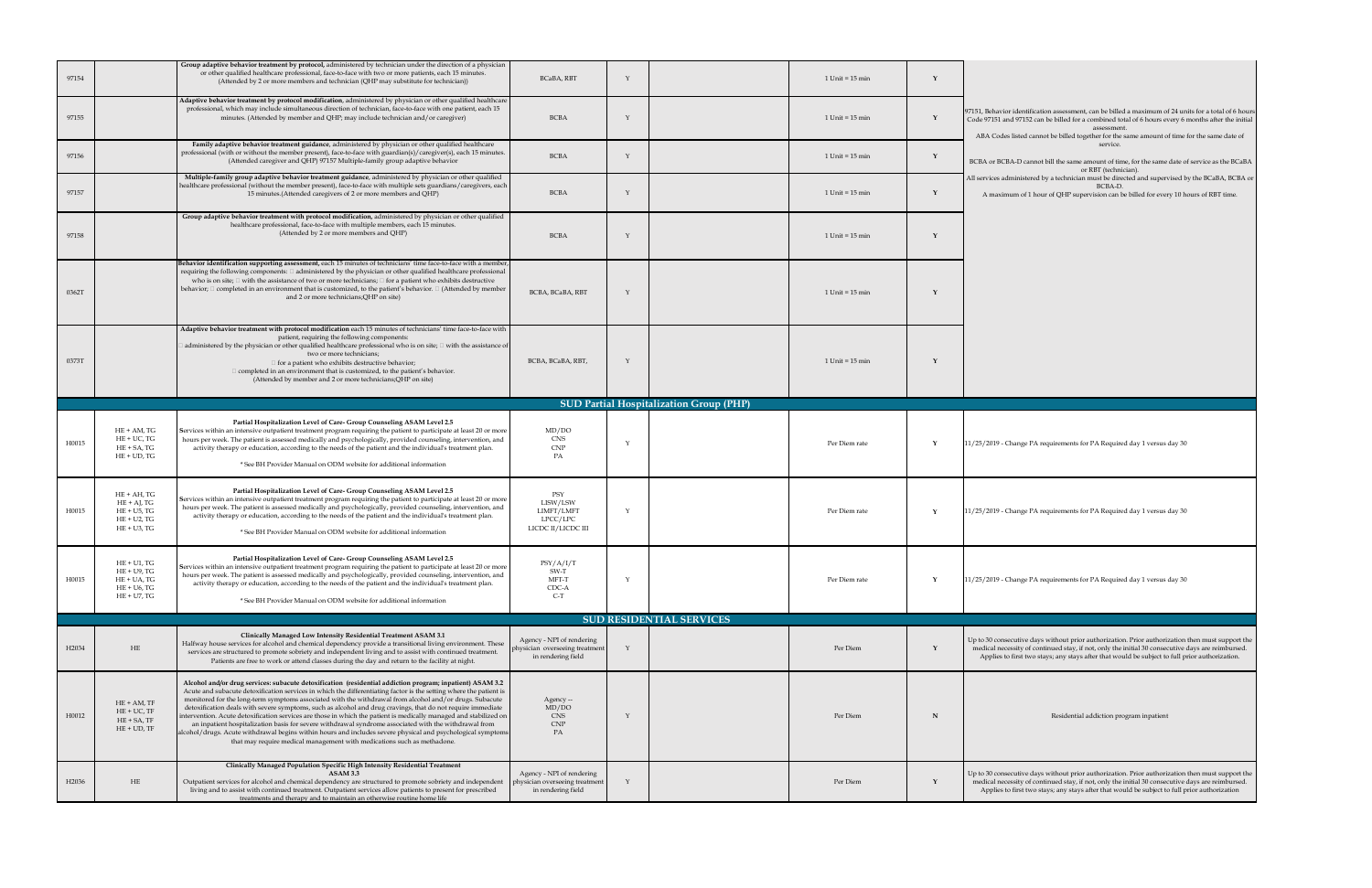| 97154 |                                                                                        | Group adaptive behavior treatment by protocol, administered by technician under the direction of a physician<br>or other qualified healthcare professional, face-to-face with two or more patients, each 15 minutes.<br>(Attended by 2 or more members and technician (QHP may substitute for technician))                                                                                                                                                                                                                                                                                                                                                                                                                                                                                                                                                                        | <b>BCaBA, RBT</b>                                                                 | $1$ Unit = $15$ min                            |                                                                                                                                                                                                                                                                                                                            |
|-------|----------------------------------------------------------------------------------------|-----------------------------------------------------------------------------------------------------------------------------------------------------------------------------------------------------------------------------------------------------------------------------------------------------------------------------------------------------------------------------------------------------------------------------------------------------------------------------------------------------------------------------------------------------------------------------------------------------------------------------------------------------------------------------------------------------------------------------------------------------------------------------------------------------------------------------------------------------------------------------------|-----------------------------------------------------------------------------------|------------------------------------------------|----------------------------------------------------------------------------------------------------------------------------------------------------------------------------------------------------------------------------------------------------------------------------------------------------------------------------|
| 97155 |                                                                                        | Adaptive behavior treatment by protocol modification, administered by physician or other qualified healthcare<br>professional, which may include simultaneous direction of technician, face-to-face with one patient, each 15<br>minutes. (Attended by member and QHP; may include technician and/or caregiver)                                                                                                                                                                                                                                                                                                                                                                                                                                                                                                                                                                   | <b>BCBA</b>                                                                       | $1$ Unit = $15$ min                            | 97151, Behavior identification assessment, can be billed a maximum of 24 units for a total of 6 hours<br>Code 97151 and 97152 can be billed for a combined total of 6 hours every 6 months after the initial<br>assessment.<br>ABA Codes listed cannot be billed together for the same amount of time for the same date of |
| 97156 |                                                                                        | Family adaptive behavior treatment guidance, administered by physician or other qualified healthcare<br>professional (with or without the member present), face-to-face with guardian(s)/caregiver(s), each 15 minutes.<br>(Attended caregiver and QHP) 97157 Multiple-family group adaptive behavior                                                                                                                                                                                                                                                                                                                                                                                                                                                                                                                                                                             | <b>BCBA</b>                                                                       | $1$ Unit = $15$ min                            | service.<br>BCBA or BCBA-D cannot bill the same amount of time, for the same date of service as the BCaBA<br>or RBT (technician).                                                                                                                                                                                          |
| 97157 |                                                                                        | Multiple-family group adaptive behavior treatment guidance, administered by physician or other qualified<br>healthcare professional (without the member present), face-to-face with multiple sets guardians/caregivers, each<br>15 minutes. (Attended caregivers of 2 or more members and QHP)                                                                                                                                                                                                                                                                                                                                                                                                                                                                                                                                                                                    | <b>BCBA</b>                                                                       | $1$ Unit = $15$ min                            | All services administered by a technician must be directed and supervised by the BCaBA, BCBA or<br>BCBA-D.<br>A maximum of 1 hour of QHP supervision can be billed for every 10 hours of RBT time.                                                                                                                         |
| 97158 |                                                                                        | Group adaptive behavior treatment with protocol modification, administered by physician or other qualified<br>healthcare professional, face-to-face with multiple members, each 15 minutes.<br>(Attended by 2 or more members and QHP)                                                                                                                                                                                                                                                                                                                                                                                                                                                                                                                                                                                                                                            | <b>BCBA</b>                                                                       | $1$ Unit = $15$ min                            |                                                                                                                                                                                                                                                                                                                            |
| 0362T |                                                                                        | Behavior identification supporting assessment, each 15 minutes of technicians' time face-to-face with a member,<br>requiring the following components: $\Box$ administered by the physician or other qualified healthcare professional<br>who is on site; $\Box$ with the assistance of two or more technicians; $\Box$ for a patient who exhibits destructive<br>behavior; $\Box$ completed in an environment that is customized, to the patient's behavior. $\Box$ (Attended by member<br>and 2 or more technicians; QHP on site)                                                                                                                                                                                                                                                                                                                                               | BCBA, BCaBA, RBT                                                                  | $1$ Unit = $15$ min                            |                                                                                                                                                                                                                                                                                                                            |
| 0373T |                                                                                        | Adaptive behavior treatment with protocol modification each 15 minutes of technicians' time face-to-face with<br>patient, requiring the following components:<br>] administered by the physician or other qualified healthcare professional who is on site; $\Box$ with the assistance of $ $<br>two or more technicians;<br>for a patient who exhibits destructive behavior;<br>$\Box$ completed in an environment that is customized, to the patient's behavior.<br>(Attended by member and 2 or more technicians; QHP on site)                                                                                                                                                                                                                                                                                                                                                 | BCBA, BCaBA, RBT,                                                                 | $1$ Unit = $15$ min                            |                                                                                                                                                                                                                                                                                                                            |
|       |                                                                                        |                                                                                                                                                                                                                                                                                                                                                                                                                                                                                                                                                                                                                                                                                                                                                                                                                                                                                   |                                                                                   | <b>SUD Partial Hospitalization Group (PHP)</b> |                                                                                                                                                                                                                                                                                                                            |
|       |                                                                                        |                                                                                                                                                                                                                                                                                                                                                                                                                                                                                                                                                                                                                                                                                                                                                                                                                                                                                   |                                                                                   |                                                |                                                                                                                                                                                                                                                                                                                            |
| H0015 | $HE + AM, TG$<br>$HE + UC$ , TG<br>$HE + SA$ , TG<br>$HE + UD$ , TG                    | <b>Partial Hospitalization Level of Care- Group Counseling ASAM Level 2.5</b><br>Services within an intensive outpatient treatment program requiring the patient to participate at least 20 or more<br>hours per week. The patient is assessed medically and psychologically, provided counseling, intervention, and<br>activity therapy or education, according to the needs of the patient and the individual's treatment plan.<br>* See BH Provider Manual on ODM website for additional information                                                                                                                                                                                                                                                                                                                                                                           | MD/DO<br><b>CNS</b><br>CNP<br>PA                                                  | Per Diem rate                                  | 11/25/2019 - Change PA requirements for PA Required day 1 versus day 30                                                                                                                                                                                                                                                    |
| H0015 | $HE + AH$ , TG<br>$HE + AJ$ , TG<br>$HE + U5$ , TG<br>$HE + U2$ , TG<br>$HE + U3$ , TG | <b>Partial Hospitalization Level of Care- Group Counseling ASAM Level 2.5</b><br>Services within an intensive outpatient treatment program requiring the patient to participate at least 20 or more<br>hours per week. The patient is assessed medically and psychologically, provided counseling, intervention, and<br>activity therapy or education, according to the needs of the patient and the individual's treatment plan.<br>* See BH Provider Manual on ODM website for additional information                                                                                                                                                                                                                                                                                                                                                                           | PSY<br>LISW/LSW<br>LIMFT/LMFT<br>LPCC/LPC<br>LICDC II/LICDC III                   | Per Diem rate                                  | 11/25/2019 - Change PA requirements for PA Required day 1 versus day 30                                                                                                                                                                                                                                                    |
| H0015 | $HE + U1$ , TG<br>$HE + U9$ , TG<br>$HE + UA$ , TG<br>$HE + U6$ , TG<br>$HE + U7$ , TG | <b>Partial Hospitalization Level of Care- Group Counseling ASAM Level 2.5</b><br>Services within an intensive outpatient treatment program requiring the patient to participate at least 20 or more<br>hours per week. The patient is assessed medically and psychologically, provided counseling, intervention, and<br>activity therapy or education, according to the needs of the patient and the individual's treatment plan.<br>* See BH Provider Manual on ODM website for additional information                                                                                                                                                                                                                                                                                                                                                                           | PSY/A/I/T<br>SW-T<br>MFT-T<br>CDC-A<br>$C-T$                                      | Per Diem rate                                  | 11/25/2019 - Change PA requirements for PA Required day 1 versus day 30                                                                                                                                                                                                                                                    |
|       |                                                                                        |                                                                                                                                                                                                                                                                                                                                                                                                                                                                                                                                                                                                                                                                                                                                                                                                                                                                                   |                                                                                   | <b>SUD RESIDENTIAL SERVICES</b>                |                                                                                                                                                                                                                                                                                                                            |
| H2034 | HE                                                                                     | <b>Clinically Managed Low Intensity Residential Treatment ASAM 3.1</b><br>Halfway house services for alcohol and chemical dependency provide a transitional living environment. These<br>services are structured to promote sobriety and independent living and to assist with continued treatment.<br>Patients are free to work or attend classes during the day and return to the facility at night.                                                                                                                                                                                                                                                                                                                                                                                                                                                                            | Agency - NPI of rendering<br>physician overseeing treatment<br>in rendering field | Per Diem                                       | Up to 30 consecutive days without prior authorization. Prior authorization then must support the<br>medical necessity of continued stay, if not, only the initial 30 consecutive days are reimbursed.<br>Applies to first two stays; any stays after that would be subject to full prior authorization.                    |
| H0012 | $HE + AM$ , $TF$<br>$HE + UC$ , TF<br>$HE + SA$ , $TF$<br>$HE + UD, TF$                | Alcohol and/or drug services: subacute detoxification (residential addiction program; inpatient) ASAM 3.2<br>Acute and subacute detoxification services in which the differentiating factor is the setting where the patient is<br>monitored for the long-term symptoms associated with the withdrawal from alcohol and/or drugs. Subacute<br>detoxification deals with severe symptoms, such as alcohol and drug cravings, that do not require immediate<br>intervention. Acute detoxification services are those in which the patient is medically managed and stabilized on<br>an inpatient hospitalization basis for severe withdrawal syndrome associated with the withdrawal from<br>alcohol/drugs. Acute withdrawal begins within hours and includes severe physical and psychological symptoms<br>that may require medical management with medications such as methadone. | Agency --<br>MD/DO<br>CNS<br><b>CNP</b><br>PA                                     | Per Diem                                       | Residential addiction program inpatient                                                                                                                                                                                                                                                                                    |
| H2036 | HE                                                                                     | Clinically Managed Population Specific High Intensity Residential Treatment<br>ASAM 3.3<br>Outpatient services for alcohol and chemical dependency are structured to promote sobriety and independent<br>living and to assist with continued treatment. Outpatient services allow patients to present for prescribed<br>treatments and therapy and to maintain an otherwise routine home life                                                                                                                                                                                                                                                                                                                                                                                                                                                                                     | Agency - NPI of rendering<br>physician overseeing treatment<br>in rendering field | Per Diem                                       | Up to 30 consecutive days without prior authorization. Prior authorization then must support the<br>medical necessity of continued stay, if not, only the initial 30 consecutive days are reimbursed.<br>Applies to first two stays; any stays after that would be subject to full prior authorization                     |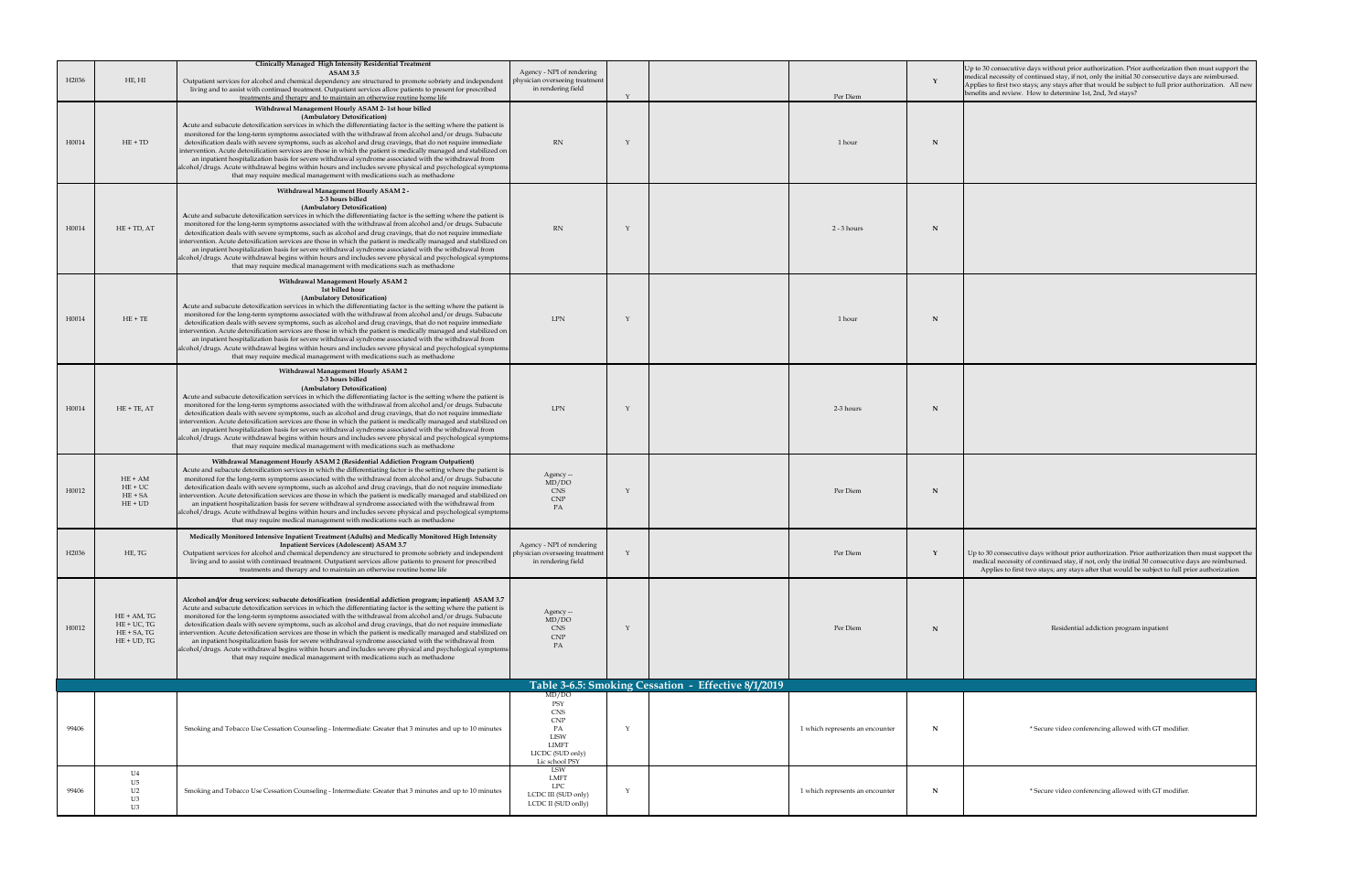| H <sub>2036</sub> | HE, HI                                                           | <b>Clinically Managed High Intensity Residential Treatment</b><br><b>ASAM 3.5</b><br>Outpatient services for alcohol and chemical dependency are structured to promote sobriety and independent<br>living and to assist with continued treatment. Outpatient services allow patients to present for prescribed                                                                                                                                                                                                                                                                                                                                                                                                                                                                                                                                                                                                                       | Agency - NPI of rendering<br>physician overseeing treatment<br>in rendering field                                   |                                                     | Up to 30 consecutive days without prior authorization. Prior authorization then must support the<br>medical necessity of continued stay, if not, only the initial 30 consecutive days are reimbursed.<br>Applies to first two stays; any stays after that would be subject to full prior authorization. All new<br>benefits and review. How to determine 1st, 2nd, 3rd stays? |
|-------------------|------------------------------------------------------------------|--------------------------------------------------------------------------------------------------------------------------------------------------------------------------------------------------------------------------------------------------------------------------------------------------------------------------------------------------------------------------------------------------------------------------------------------------------------------------------------------------------------------------------------------------------------------------------------------------------------------------------------------------------------------------------------------------------------------------------------------------------------------------------------------------------------------------------------------------------------------------------------------------------------------------------------|---------------------------------------------------------------------------------------------------------------------|-----------------------------------------------------|-------------------------------------------------------------------------------------------------------------------------------------------------------------------------------------------------------------------------------------------------------------------------------------------------------------------------------------------------------------------------------|
| H0014             | $HE + TD$                                                        | treatments and therapy and to maintain an otherwise routine home life<br>Withdrawal Management Hourly ASAM 2-1st hour billed<br>(Ambulatory Detoxification)<br>Acute and subacute detoxification services in which the differentiating factor is the setting where the patient is<br>monitored for the long-term symptoms associated with the withdrawal from alcohol and/or drugs. Subacute<br>detoxification deals with severe symptoms, such as alcohol and drug cravings, that do not require immediate<br>intervention. Acute detoxification services are those in which the patient is medically managed and stabilized on<br>an inpatient hospitalization basis for severe withdrawal syndrome associated with the withdrawal from<br> alcohol/drugs. Acute withdrawal begins within hours and includes severe physical and psychological symptoms <br>that may require medical management with medications such as methadone | RN                                                                                                                  | Per Diem<br>1 hour                                  |                                                                                                                                                                                                                                                                                                                                                                               |
| H0014             | $HE + TD, AT$                                                    | Withdrawal Management Hourly ASAM 2 -<br>2-3 hours billed<br>(Ambulatory Detoxification)<br>Acute and subacute detoxification services in which the differentiating factor is the setting where the patient is<br>monitored for the long-term symptoms associated with the withdrawal from alcohol and/or drugs. Subacute<br>detoxification deals with severe symptoms, such as alcohol and drug cravings, that do not require immediate<br>intervention. Acute detoxification services are those in which the patient is medically managed and stabilized on<br>an inpatient hospitalization basis for severe withdrawal syndrome associated with the withdrawal from<br> alcohol/drugs. Acute withdrawal begins within hours and includes severe physical and psychological symptoms <br>that may require medical management with medications such as methadone                                                                    | RN                                                                                                                  | $2 - 3$ hours                                       |                                                                                                                                                                                                                                                                                                                                                                               |
| H0014             | $HE + TE$                                                        | <b>Withdrawal Management Hourly ASAM 2</b><br>1st billed hour<br>(Ambulatory Detoxification)<br>Acute and subacute detoxification services in which the differentiating factor is the setting where the patient is<br>monitored for the long-term symptoms associated with the withdrawal from alcohol and/or drugs. Subacute<br>detoxification deals with severe symptoms, such as alcohol and drug cravings, that do not require immediate<br>intervention. Acute detoxification services are those in which the patient is medically managed and stabilized on<br>an inpatient hospitalization basis for severe withdrawal syndrome associated with the withdrawal from<br> alcohol/drugs. Acute withdrawal begins within hours and includes severe physical and psychological symptoms <br>that may require medical management with medications such as methadone                                                                | <b>LPN</b>                                                                                                          | 1 hour                                              |                                                                                                                                                                                                                                                                                                                                                                               |
| H0014             | $HE + TE, AT$                                                    | <b>Withdrawal Management Hourly ASAM 2</b><br>2-3 hours billed<br>(Ambulatory Detoxification)<br>Acute and subacute detoxification services in which the differentiating factor is the setting where the patient is<br>monitored for the long-term symptoms associated with the withdrawal from alcohol and/or drugs. Subacute<br>detoxification deals with severe symptoms, such as alcohol and drug cravings, that do not require immediate<br>intervention. Acute detoxification services are those in which the patient is medically managed and stabilized on<br>an inpatient hospitalization basis for severe withdrawal syndrome associated with the withdrawal from<br> alcohol/drugs. Acute withdrawal begins within hours and includes severe physical and psychological symptoms <br>that may require medical management with medications such as methadone                                                               | LPN                                                                                                                 | 2-3 hours                                           |                                                                                                                                                                                                                                                                                                                                                                               |
| H0012             | $HE + AM$<br>$HE + UC$<br>$HE + SA$<br>$HE + UD$                 | Withdrawal Management Hourly ASAM 2 (Residential Addiction Program Outpatient)<br>Acute and subacute detoxification services in which the differentiating factor is the setting where the patient is<br>monitored for the long-term symptoms associated with the withdrawal from alcohol and/or drugs. Subacute<br>detoxification deals with severe symptoms, such as alcohol and drug cravings, that do not require immediate<br>intervention. Acute detoxification services are those in which the patient is medically managed and stabilized on<br>an inpatient hospitalization basis for severe withdrawal syndrome associated with the withdrawal from<br> alcohol/drugs. Acute withdrawal begins within hours and includes severe physical and psychological symptoms <br>that may require medical management with medications such as methadone                                                                              | Agency --<br>MD/DO<br>CNS<br>CNP<br>PA                                                                              | Per Diem                                            |                                                                                                                                                                                                                                                                                                                                                                               |
| H2036             | HE, TG                                                           | Medically Monitored Intensive Inpatient Treatment (Adults) and Medically Monitored High Intensity<br><b>Inpatient Services (Adolescent) ASAM 3.7</b><br>Outpatient services for alcohol and chemical dependency are structured to promote sobriety and independent<br>living and to assist with continued treatment. Outpatient services allow patients to present for prescribed<br>treatments and therapy and to maintain an otherwise routine home life                                                                                                                                                                                                                                                                                                                                                                                                                                                                           | Agency - NPI of rendering<br>physician overseeing treatment<br>in rendering field                                   | Per Diem                                            | $\vert$ Up to 30 consecutive days without prior authorization. Prior authorization then must support the<br>medical necessity of continued stay, if not, only the initial 30 consecutive days are reimbursed.<br>Applies to first two stays; any stays after that would be subject to full prior authorization                                                                |
| H0012             | HE + AM, TG<br>$HE + UC$ , TG<br>$HE + SA$ , TG<br>$HE + UD, TG$ | Alcohol and/or drug services: subacute detoxification (residential addiction program; inpatient) ASAM 3.7<br>Acute and subacute detoxification services in which the differentiating factor is the setting where the patient is<br>monitored for the long-term symptoms associated with the withdrawal from alcohol and/or drugs. Subacute<br>detoxification deals with severe symptoms, such as alcohol and drug cravings, that do not require immediate<br>intervention. Acute detoxification services are those in which the patient is medically managed and stabilized on<br>an inpatient hospitalization basis for severe withdrawal syndrome associated with the withdrawal from<br> alcohol/drugs. Acute withdrawal begins within hours and includes severe physical and psychological symptoms <br>that may require medical management with medications such as methadone                                                   | Agency --<br>MD/DO<br>CNS<br>CNP<br>PA                                                                              | Per Diem                                            | Residential addiction program inpatient                                                                                                                                                                                                                                                                                                                                       |
|                   |                                                                  |                                                                                                                                                                                                                                                                                                                                                                                                                                                                                                                                                                                                                                                                                                                                                                                                                                                                                                                                      |                                                                                                                     | Table 3-6.5: Smoking Cessation - Effective 8/1/2019 |                                                                                                                                                                                                                                                                                                                                                                               |
| 99406             |                                                                  | Smoking and Tobacco Use Cessation Counseling - Intermediate: Greater that 3 minutes and up to 10 minutes                                                                                                                                                                                                                                                                                                                                                                                                                                                                                                                                                                                                                                                                                                                                                                                                                             | MD/DO<br>PSY<br><b>CNS</b><br><b>CNP</b><br>PA<br><b>LISW</b><br><b>LIMFT</b><br>LICDC (SUD only)<br>Lic school PSY | 1 which represents an encounter                     | * Secure video conferencing allowed with GT modifier.                                                                                                                                                                                                                                                                                                                         |
| 99406             | U4<br>U5<br>U <sub>2</sub><br>U3                                 | Smoking and Tobacco Use Cessation Counseling - Intermediate: Greater that 3 minutes and up to 10 minutes                                                                                                                                                                                                                                                                                                                                                                                                                                                                                                                                                                                                                                                                                                                                                                                                                             | LSW<br><b>LMFT</b><br><b>LPC</b><br>LCDC III (SUD only)<br>LCDC II (SUD onlly)                                      | 1 which represents an encounter                     | * Secure video conferencing allowed with GT modifier.                                                                                                                                                                                                                                                                                                                         |

| days without prior authorization. Prior authorization then must support the<br>continued stay, if not, only the initial 30 consecutive days are reimbursed.<br>tays; any stays after that would be subject to full prior authorization. All new<br>How to determine 1st, 2nd, 3rd stays? |
|------------------------------------------------------------------------------------------------------------------------------------------------------------------------------------------------------------------------------------------------------------------------------------------|
|                                                                                                                                                                                                                                                                                          |
|                                                                                                                                                                                                                                                                                          |
|                                                                                                                                                                                                                                                                                          |
|                                                                                                                                                                                                                                                                                          |
|                                                                                                                                                                                                                                                                                          |
|                                                                                                                                                                                                                                                                                          |
|                                                                                                                                                                                                                                                                                          |
|                                                                                                                                                                                                                                                                                          |
|                                                                                                                                                                                                                                                                                          |
|                                                                                                                                                                                                                                                                                          |
| e days without prior authorization. Prior authorization then must support the<br>of continued stay, if not, only the initial 30 consecutive days are reimbursed.<br>two stays; any stays after that would be subject to full prior authorization                                         |
|                                                                                                                                                                                                                                                                                          |
| Residential addiction program inpatient                                                                                                                                                                                                                                                  |
|                                                                                                                                                                                                                                                                                          |
| * Secure video conferencing allowed with GT modifier.                                                                                                                                                                                                                                    |
| * Secure video conferencing allowed with GT modifier.                                                                                                                                                                                                                                    |
|                                                                                                                                                                                                                                                                                          |